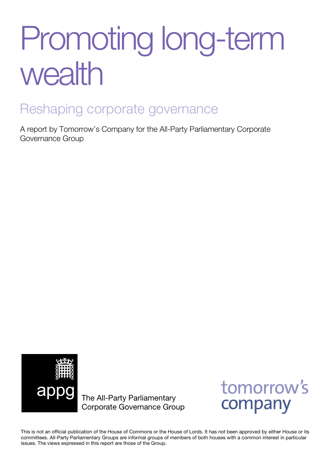# Promoting long-term wealth

### Reshaping corporate governance

A report by Tomorrow's Company for the All-Party Parliamentary Corporate Governance Group



The All-Party Parliamentary Corporate Governance Group



This is not an official publication of the House of Commons or the House of Lords. It has not been approved by either House or its committees. All-Party Parliamentary Groups are informal groups of members of both houses with a common interest in particular issues. The views expressed in this report are those of the Group.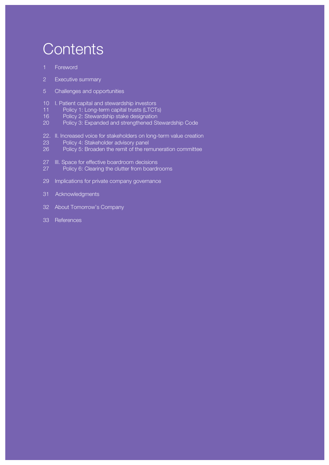# **Contents**

- 1 Foreword
- 2 Executive summary
- 5 Challenges and opportunities
- 10 I. Patient capital and stewardship investors
- 11 Policy 1: Long-term capital trusts (LTCTs)
- 16 Policy 2: Stewardship stake designation
- 20 Policy 3: Expanded and strengthened Stewardship Code
- 22. II. Increased voice for stakeholders on long-term value creation
- 23 Policy 4: Stakeholder advisory panel
- 26 Policy 5: Broaden the remit of the remuneration committee
- 27 III. Space for effective boardroom decisions
- 27 Policy 6: Clearing the clutter from boardrooms
- 29 Implications for private company governance
- 31 Acknowledgments
- 32 About Tomorrow's Company
- 33 References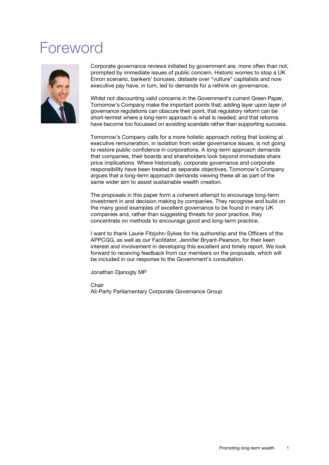## Foreword



Corporate governance reviews initiated by government are, more often than not, prompted by immediate issues of public concern. Historic worries to stop a UK Enron scenario, bankers' bonuses, distaste over "vulture" capitalists and now executive pay have, in turn, led to demands for a rethink on governance.

Whilst not discounting valid concerns in the Government's current Green Paper, Tomorrow's Company make the important points that; adding layer upon layer of governance regulations can obscure their point, that regulatory reform can be short-termist where a long-term approach is what is needed; and that reforms have become too focussed on avoiding scandals rather than supporting success.

Tomorrow's Company calls for a more holistic approach noting that looking at executive remuneration, in isolation from wider governance issues, is not going to restore public confidence in corporations. A long-term approach demands that companies, their boards and shareholders look beyond immediate share price implications. Where historically, corporate governance and corporate responsibility have been treated as separate objectives, Tomorrow's Company argues that a long-term approach demands viewing these all as part of the same wider aim to assist sustainable wealth creation.

The proposals in this paper form a coherent attempt to encourage long-term investment in and decision making by companies. They recognise and build on the many good examples of excellent governance to be found in many UK companies and, rather than suggesting threats for poor practice, they concentrate on methods to encourage good and long-term practice.

I want to thank Laurie Fitzjohn-Sykes for his authorship and the Officers of the APPCGG, as well as our Facilitator, Jennifer Bryant-Pearson, for their keen interest and involvement in developing this excellent and timely report. We look forward to receiving feedback from our members on the proposals, which will be included in our response to the Government's consultation.

Jonathan Djanogly MP

**Chair** 

All-Party Parliamentary Corporate Governance Group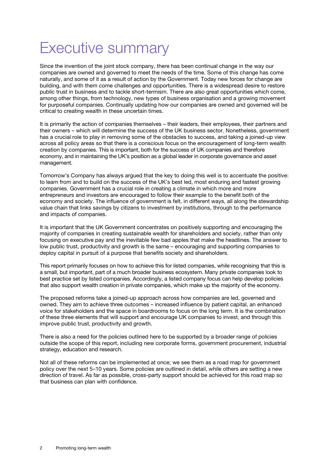# Executive summary

Since the invention of the joint stock company, there has been continual change in the way our companies are owned and governed to meet the needs of the time. Some of this change has come naturally, and some of it as a result of action by the Government. Today new forces for change are building, and with them come challenges and opportunities. There is a widespread desire to restore public trust in business and to tackle short-termism. There are also great opportunities which come, among other things, from technology, new types of business organisation and a growing movement for purposeful companies. Continually updating how our companies are owned and governed will be critical to creating wealth in these uncertain times.

It is primarily the action of companies themselves – their leaders, their employees, their partners and their owners – which will determine the success of the UK business sector. Nonetheless, government has a crucial role to play in removing some of the obstacles to success, and taking a joined-up view across all policy areas so that there is a conscious focus on the encouragement of long-term wealth creation by companies. This is important, both for the success of UK companies and therefore economy, and in maintaining the UK's position as a global leader in corporate governance and asset management.

Tomorrow's Company has always argued that the key to doing this well is to accentuate the positive: to learn from and to build on the success of the UK's best led, most enduring and fastest growing companies. Government has a crucial role in creating a climate in which more and more entrepreneurs and investors are encouraged to follow their example to the benefit both of the economy and society. The influence of government is felt, in different ways, all along the stewardship value chain that links savings by citizens to investment by institutions, through to the performance and impacts of companies.

It is important that the UK Government concentrates on positively supporting and encouraging the majority of companies in creating sustainable wealth for shareholders and society, rather than only focusing on executive pay and the inevitable few bad apples that make the headlines. The answer to low public trust, productivity and growth is the same – encouraging and supporting companies to deploy capital in pursuit of a purpose that benefits society and shareholders.

This report primarily focuses on how to achieve this for listed companies, while recognising that this is a small, but important, part of a much broader business ecosystem. Many private companies look to best practice set by listed companies. Accordingly, a listed company focus can help develop policies that also support wealth creation in private companies, which make up the majority of the economy.

The proposed reforms take a joined-up approach across how companies are led, governed and owned. They aim to achieve three outcomes – increased influence by patient capital, an enhanced voice for stakeholders and the space in boardrooms to focus on the long term. It is the combination of these three elements that will support and encourage UK companies to invest, and through this improve public trust, productivity and growth.

There is also a need for the policies outlined here to be supported by a broader range of policies outside the scope of this report, including new corporate forms, government procurement, industrial strategy, education and research.

Not all of these reforms can be implemented at once; we see them as a road map for government policy over the next 5–10 years. Some policies are outlined in detail, while others are setting a new direction of travel. As far as possible, cross-party support should be achieved for this road map so that business can plan with confidence.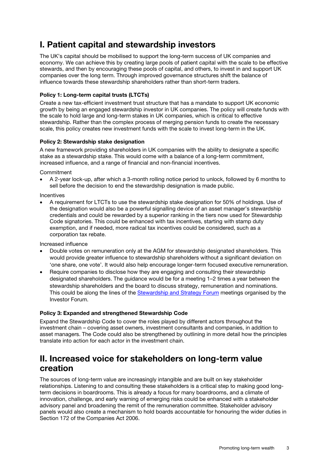### I. Patient capital and stewardship investors

The UK's capital should be mobilised to support the long-term success of UK companies and economy. We can achieve this by creating large pools of patient capital with the scale to be effective stewards, and then by encouraging these pools of capital, and others, to invest in and support UK companies over the long term. Through improved governance structures shift the balance of influence towards these stewardship shareholders rather than short-term traders.

#### Policy 1: Long-term capital trusts (LTCTs)

Create a new tax-efficient investment trust structure that has a mandate to support UK economic growth by being an engaged stewardship investor in UK companies. The policy will create funds with the scale to hold large and long-term stakes in UK companies, which is critical to effective stewardship. Rather than the complex process of merging pension funds to create the necessary scale, this policy creates new investment funds with the scale to invest long-term in the UK.

#### Policy 2: Stewardship stake designation

A new framework providing shareholders in UK companies with the ability to designate a specific stake as a stewardship stake. This would come with a balance of a long-term commitment, increased influence, and a range of financial and non-financial incentives.

Commitment

• A 2-year lock-up, after which a 3-month rolling notice period to unlock, followed by 6 months to sell before the decision to end the stewardship designation is made public.

Incentives

• A requirement for LTCTs to use the stewardship stake designation for 50% of holdings. Use of the designation would also be a powerful signalling device of an asset manager's stewardship credentials and could be rewarded by a superior ranking in the tiers now used for Stewardship Code signatories. This could be enhanced with tax incentives, starting with stamp duty exemption, and if needed, more radical tax incentives could be considered, such as a corporation tax rebate.

Increased influence

- Double votes on remuneration only at the AGM for stewardship designated shareholders. This would provide greater influence to stewardship shareholders without a significant deviation on 'one share, one vote'. It would also help encourage longer-term focused executive remuneration.
- Require companies to disclose how they are engaging and consulting their stewardship designated shareholders. The guidance would be for a meeting 1–2 times a year between the stewardship shareholders and the board to discuss strategy, remuneration and nominations. This could be along the lines of the [Stewardship and Strategy Forum](http://www.investorforum.org.uk/stewardship-360) meetings organised by the Investor Forum.

#### Policy 3: Expanded and strengthened Stewardship Code

Expand the Stewardship Code to cover the roles played by different actors throughout the investment chain – covering asset owners, investment consultants and companies, in addition to asset managers. The Code could also be strengthened by outlining in more detail how the principles translate into action for each actor in the investment chain.

### II. Increased voice for stakeholders on long-term value creation

The sources of long-term value are increasingly intangible and are built on key stakeholder relationships. Listening to and consulting these stakeholders is a critical step to making good longterm decisions in boardrooms. This is already a focus for many boardrooms, and a climate of innovation, challenge, and early warning of emerging risks could be enhanced with a stakeholder advisory panel and broadening the remit of the remuneration committee. Stakeholder advisory panels would also create a mechanism to hold boards accountable for honouring the wider duties in Section 172 of the Companies Act 2006.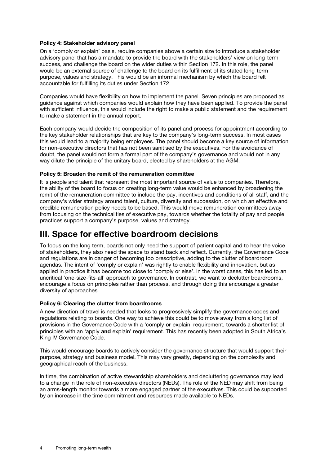#### Policy 4: Stakeholder advisory panel

On a 'comply or explain' basis, require companies above a certain size to introduce a stakeholder advisory panel that has a mandate to provide the board with the stakeholders' view on long-term success, and challenge the board on the wider duties within Section 172. In this role, the panel would be an external source of challenge to the board on its fulfilment of its stated long-term purpose, values and strategy. This would be an informal mechanism by which the board felt accountable for fulfilling its duties under Section 172.

Companies would have flexibility on how to implement the panel. Seven principles are proposed as guidance against which companies would explain how they have been applied. To provide the panel with sufficient influence, this would include the right to make a public statement and the requirement to make a statement in the annual report.

Each company would decide the composition of its panel and process for appointment according to the key stakeholder relationships that are key to the company's long-term success. In most cases this would lead to a majority being employees. The panel should become a key source of information for non-executive directors that has not been sanitised by the executives. For the avoidance of doubt, the panel would not form a formal part of the company's governance and would not in any way dilute the principle of the unitary board, elected by shareholders at the AGM.

#### Policy 5: Broaden the remit of the remuneration committee

It is people and talent that represent the most important source of value to companies. Therefore, the ability of the board to focus on creating long-term value would be enhanced by broadening the remit of the remuneration committee to include the pay, incentives and conditions of all staff, and the company's wider strategy around talent, culture, diversity and succession, on which an effective and credible remuneration policy needs to be based. This would move remuneration committees away from focusing on the technicalities of executive pay, towards whether the totality of pay and people practices support a company's purpose, values and strategy.

### III. Space for effective boardroom decisions

To focus on the long term, boards not only need the support of patient capital and to hear the voice of stakeholders, they also need the space to stand back and reflect. Currently, the Governance Code and regulations are in danger of becoming too prescriptive, adding to the clutter of boardroom agendas. The intent of 'comply or explain' was rightly to enable flexibility and innovation, but as applied in practice it has become too close to 'comply or else'. In the worst cases, this has led to an uncritical 'one-size-fits-all' approach to governance. In contrast, we want to declutter boardrooms, encourage a focus on principles rather than process, and through doing this encourage a greater diversity of approaches.

#### Policy 6: Clearing the clutter from boardrooms

A new direction of travel is needed that looks to progressively simplify the governance codes and regulations relating to boards. One way to achieve this could be to move away from a long list of provisions in the Governance Code with a 'comply or explain' requirement, towards a shorter list of principles with an 'apply and explain' requirement. This has recently been adopted in South Africa's King IV Governance Code.

This would encourage boards to actively consider the governance structure that would support their purpose, strategy and business model. This may vary greatly, depending on the complexity and geographical reach of the business.

In time, the combination of active stewardship shareholders and decluttering governance may lead to a change in the role of non-executive directors (NEDs). The role of the NED may shift from being an arms-length monitor towards a more engaged partner of the executives. This could be supported by an increase in the time commitment and resources made available to NEDs.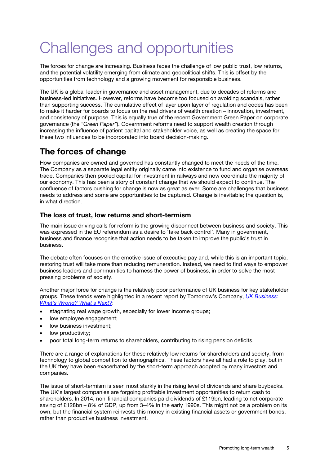# Challenges and opportunities

The forces for change are increasing. Business faces the challenge of low public trust, low returns, and the potential volatility emerging from climate and geopolitical shifts. This is offset by the opportunities from technology and a growing movement for responsible business.

The UK is a global leader in governance and asset management, due to decades of reforms and business-led initiatives. However, reforms have become too focused on avoiding scandals, rather than supporting success. The cumulative effect of layer upon layer of regulation and codes has been to make it harder for boards to focus on the real drivers of wealth creation – innovation, investment, and consistency of purpose. This is equally true of the recent Government Green Paper on corporate governance (the *"Green Paper"*). Government reforms need to support wealth creation through increasing the influence of patient capital and stakeholder voice, as well as creating the space for these two influences to be incorporated into board decision-making.

### The forces of change

How companies are owned and governed has constantly changed to meet the needs of the time. The Company as a separate legal entity originally came into existence to fund and organise overseas trade. Companies then pooled capital for investment in railways and now coordinate the majority of our economy. This has been a story of constant change that we should expect to continue. The confluence of factors pushing for change is now as great as ever. Some are challenges that business needs to address and some are opportunities to be captured. Change is inevitable; the question is, in what direction.

#### The loss of trust, low returns and short-termism

The main issue driving calls for reform is the growing disconnect between business and society. This was expressed in the EU referendum as a desire to 'take back control'. Many in government, business and finance recognise that action needs to be taken to improve the public's trust in business.

The debate often focuses on the emotive issue of executive pay and, while this is an important topic, restoring trust will take more than reducing remuneration. Instead, we need to find ways to empower business leaders and communities to harness the power of business, in order to solve the most pressing problems of society.

Another major force for change is the relatively poor performance of UK business for key stakeholder groups. These trends were highlighted in a recent report by Tomorrow's Company, *[UK Business:](http://tomorrowscompany.com/publication/uk-business-whats-wrong-whats-next/)  [What's Wrong? What's Next?](http://tomorrowscompany.com/publication/uk-business-whats-wrong-whats-next/)*:

- stagnating real wage growth, especially for lower income groups;
- low employee engagement;
- low business investment:
- low productivity;
- poor total long-term returns to shareholders, contributing to rising pension deficits.

There are a range of explanations for these relatively low returns for shareholders and society, from technology to global competition to demographics. These factors have all had a role to play, but in the UK they have been exacerbated by the short-term approach adopted by many investors and companies.

The issue of short-termism is seen most starkly in the rising level of dividends and share buybacks. The UK's largest companies are forgoing profitable investment opportunities to return cash to shareholders. In 2014, non-financial companies paid dividends of £119bn, leading to net corporate saving of £128bn – 8% of GDP, up from 3–4% in the early 1990s. This might not be a problem on its own, but the financial system reinvests this money in existing financial assets or government bonds, rather than productive business investment.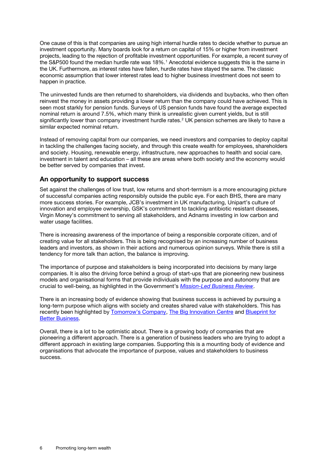One cause of this is that companies are using high internal hurdle rates to decide whether to pursue an investment opportunity. Many boards look for a return on capital of 15% or higher from investment projects, leading to the rejection of profitable investment opportunities. For example, a recent survey of the S&P500 found the median hurdle rate was [1](#page-34-0)8%.<sup>1</sup> Anecdotal evidence suggests this is the same in the UK. Furthermore, as interest rates have fallen, hurdle rates have stayed the same. The classic economic assumption that lower interest rates lead to higher business investment does not seem to happen in practice.

The uninvested funds are then returned to shareholders, via dividends and buybacks, who then often reinvest the money in assets providing a lower return than the company could have achieved. This is seen most starkly for pension funds. Surveys of US pension funds have found the average expected nominal return is around 7.5%, which many think is unrealistic given current yields, but is still significantly lower than company investment hurdle rates.<sup>[2](#page-34-1)</sup> UK pension schemes are likely to have a similar expected nominal return.

Instead of removing capital from our companies, we need investors and companies to deploy capital in tackling the challenges facing society, and through this create wealth for employees, shareholders and society. Housing, renewable energy, infrastructure, new approaches to health and social care, investment in talent and education – all these are areas where both society and the economy would be better served by companies that invest.

#### An opportunity to support success

Set against the challenges of low trust, low returns and short-termism is a more encouraging picture of successful companies acting responsibly outside the public eye. For each BHS, there are many more success stories. For example, JCB's investment in UK manufacturing, Unipart's culture of innovation and employee ownership, GSK's commitment to tackling antibiotic resistant diseases, Virgin Money's commitment to serving all stakeholders, and Adnams investing in low carbon and water usage facilities.

There is increasing awareness of the importance of being a responsible corporate citizen, and of creating value for all stakeholders. This is being recognised by an increasing number of business leaders and investors, as shown in their actions and numerous opinion surveys. While there is still a tendency for more talk than action, the balance is improving.

The importance of purpose and stakeholders is being incorporated into decisions by many large companies. It is also the driving force behind a group of start-ups that are pioneering new business models and organisational forms that provide individuals with the purpose and autonomy that are crucial to well-being, as highlighted in the Government's *[Mission-Led Business Review](https://www.gov.uk/government/publications/advisory-panel-to-mission-led-business-review-final-report)*.

There is an increasing body of evidence showing that business success is achieved by pursuing a long-term purpose which aligns with society and creates shared value with stakeholders. This has recently been highlighted by [Tomorrow's Company,](http://tomorrowscompany.com/publication/uk-business-whats-wrong-whats-next/) [The Big Innovation Centre](http://www.biginnovationcentre.com/media/uploads/pdf/ThePurposefulCompany_InterimReport.pdf) and [Blueprint for](http://www.blueprintforbusiness.org/)  **Better Business** 

Overall, there is a lot to be optimistic about. There is a growing body of companies that are pioneering a different approach. There is a generation of business leaders who are trying to adopt a different approach in existing large companies. Supporting this is a mounting body of evidence and organisations that advocate the importance of purpose, values and stakeholders to business success.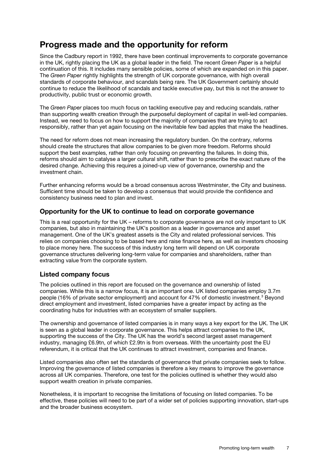### Progress made and the opportunity for reform

Since the Cadbury report in 1992, there have been continual improvements to corporate governance in the UK, rightly placing the UK as a global leader in the field. The recent *Green Paper* is a helpful continuation of this. It includes many sensible policies, some of which are expanded on in this paper. The *Green Paper* rightly highlights the strength of UK corporate governance, with high overall standards of corporate behaviour, and scandals being rare. The UK Government certainly should continue to reduce the likelihood of scandals and tackle executive pay, but this is not the answer to productivity, public trust or economic growth.

The *Green Paper* places too much focus on tackling executive pay and reducing scandals, rather than supporting wealth creation through the purposeful deployment of capital in well-led companies. Instead, we need to focus on how to support the majority of companies that are trying to act responsibly, rather than yet again focusing on the inevitable few bad apples that make the headlines.

The need for reform does not mean increasing the regulatory burden. On the contrary, reforms should create the structures that allow companies to be given more freedom. Reforms should support the best examples, rather than only focusing on preventing the failures. In doing this, reforms should aim to catalyse a larger cultural shift, rather than to prescribe the exact nature of the desired change. Achieving this requires a joined-up view of governance, ownership and the investment chain.

Further enhancing reforms would be a broad consensus across Westminster, the City and business. Sufficient time should be taken to develop a consensus that would provide the confidence and consistency business need to plan and invest.

#### Opportunity for the UK to continue to lead on corporate governance

This is a real opportunity for the UK – reforms to corporate governance are not only important to UK companies, but also in maintaining the UK's position as a leader in governance and asset management. One of the UK's greatest assets is the City and related professional services. This relies on companies choosing to be based here and raise finance here, as well as investors choosing to place money here. The success of this industry long term will depend on UK corporate governance structures delivering long-term value for companies and shareholders, rather than extracting value from the corporate system.

#### Listed company focus

The policies outlined in this report are focused on the governance and ownership of listed companies. While this is a narrow focus, it is an important one. UK listed companies employ 3.7m people (16% of private sector employment) and account for 47% of domestic investment.[3](#page-34-2) Beyond direct employment and investment, listed companies have a greater impact by acting as the coordinating hubs for industries with an ecosystem of smaller suppliers.

The ownership and governance of listed companies is in many ways a key export for the UK. The UK is seen as a global leader in corporate governance. This helps attract companies to the UK, supporting the success of the City. The UK has the world's second largest asset management industry, managing £6.9tn, of which £2.9tn is from overseas. With the uncertainty post the EU referendum, it is critical that the UK continues to attract investment, companies and finance.

Listed companies also often set the standards of governance that private companies seek to follow. Improving the governance of listed companies is therefore a key means to improve the governance across all UK companies. Therefore, one test for the policies outlined is whether they would also support wealth creation in private companies.

Nonetheless, it is important to recognise the limitations of focusing on listed companies. To be effective, these policies will need to be part of a wider set of policies supporting innovation, start-ups and the broader business ecosystem.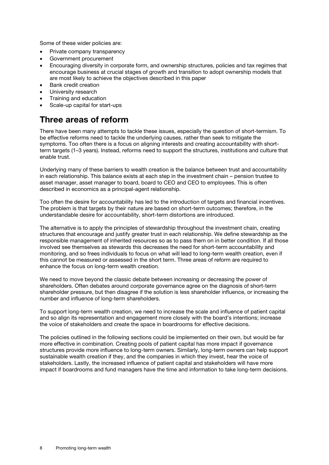Some of these wider policies are:

- Private company transparency
- Government procurement
- Encouraging diversity in corporate form, and ownership structures, policies and tax regimes that encourage business at crucial stages of growth and transition to adopt ownership models that are most likely to achieve the objectives described in this paper
- Bank credit creation
- University research
- Training and education
- Scale-up capital for start-ups

### Three areas of reform

There have been many attempts to tackle these issues, especially the question of short-termism. To be effective reforms need to tackle the underlying causes, rather than seek to mitigate the symptoms. Too often there is a focus on aligning interests and creating accountability with shortterm targets (1–3 years). Instead, reforms need to support the structures, institutions and culture that enable trust.

Underlying many of these barriers to wealth creation is the balance between trust and accountability in each relationship. This balance exists at each step in the investment chain – pension trustee to asset manager, asset manager to board, board to CEO and CEO to employees. This is often described in economics as a principal-agent relationship.

Too often the desire for accountability has led to the introduction of targets and financial incentives. The problem is that targets by their nature are based on short-term outcomes; therefore, in the understandable desire for accountability, short-term distortions are introduced.

The alternative is to apply the principles of stewardship throughout the investment chain, creating structures that encourage and justify greater trust in each relationship. We define stewardship as the responsible management of inherited resources so as to pass them on in better condition. If all those involved see themselves as stewards this decreases the need for short-term accountability and monitoring, and so frees individuals to focus on what will lead to long-term wealth creation, even if this cannot be measured or assessed in the short term. Three areas of reform are required to enhance the focus on long-term wealth creation.

We need to move beyond the classic debate between increasing or decreasing the power of shareholders. Often debates around corporate governance agree on the diagnosis of short-term shareholder pressure, but then disagree if the solution is less shareholder influence, or increasing the number and influence of long-term shareholders.

To support long-term wealth creation, we need to increase the scale and influence of patient capital and so align its representation and engagement more closely with the board's intentions; increase the voice of stakeholders and create the space in boardrooms for effective decisions.

The policies outlined in the following sections could be implemented on their own, but would be far more effective in combination. Creating pools of patient capital has more impact if governance structures provide more influence to long-term owners. Similarly, long-term owners can help support sustainable wealth creation if they, and the companies in which they invest, hear the voice of stakeholders. Lastly, the increased influence of patient capital and stakeholders will have more impact if boardrooms and fund managers have the time and information to take long-term decisions.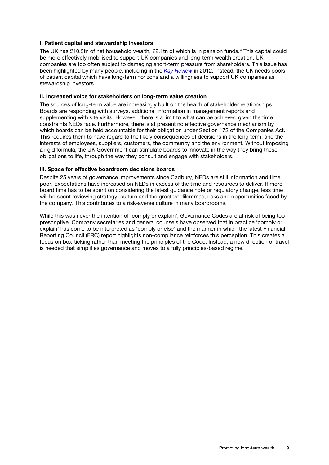#### I. Patient capital and stewardship investors

The UK has £10.2tn of net household wealth, £2.1tn of which is in pension funds.[4](#page-34-3) This capital could be more effectively mobilised to support UK companies and long-term wealth creation. UK companies are too often subject to damaging short-term pressure from shareholders. This issue has been highlighted by many people, including in the *[Kay Review](https://www.gov.uk/government/uploads/system/uploads/attachment_data/file/31544/12-631-kay-review-of-equity-markets-interim-report.pdf)* in 2012. Instead, the UK needs pools of patient capital which have long-term horizons and a willingness to support UK companies as stewardship investors.

#### II. Increased voice for stakeholders on long-term value creation

The sources of long-term value are increasingly built on the health of stakeholder relationships. Boards are responding with surveys, additional information in management reports and supplementing with site visits. However, there is a limit to what can be achieved given the time constraints NEDs face. Furthermore, there is at present no effective governance mechanism by which boards can be held accountable for their obligation under Section 172 of the Companies Act. This requires them to have regard to the likely consequences of decisions in the long term, and the interests of employees, suppliers, customers, the community and the environment. Without imposing a rigid formula, the UK Government can stimulate boards to innovate in the way they bring these obligations to life, through the way they consult and engage with stakeholders.

#### III. Space for effective boardroom decisions boards

Despite 25 years of governance improvements since Cadbury, NEDs are still information and time poor. Expectations have increased on NEDs in excess of the time and resources to deliver. If more board time has to be spent on considering the latest guidance note or regulatory change, less time will be spent reviewing strategy, culture and the greatest dilemmas, risks and opportunities faced by the company. This contributes to a risk-averse culture in many boardrooms.

While this was never the intention of 'comply or explain', Governance Codes are at risk of being too prescriptive. Company secretaries and general counsels have observed that in practice 'comply or explain' has come to be interpreted as 'comply or else' and the manner in which the latest Financial Reporting Council (FRC) report highlights non-compliance reinforces this perception. This creates a focus on box-ticking rather than meeting the principles of the Code. Instead, a new direction of travel is needed that simplifies governance and moves to a fully principles-based regime.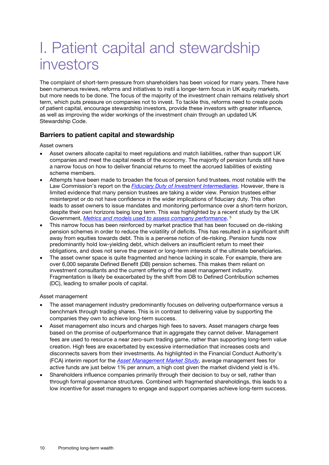# I. Patient capital and stewardship investors

The complaint of short-term pressure from shareholders has been voiced for many years. There have been numerous reviews, reforms and initiatives to instil a longer-term focus in UK equity markets, but more needs to be done. The focus of the majority of the investment chain remains relatively short term, which puts pressure on companies not to invest. To tackle this, reforms need to create pools of patient capital, encourage stewardship investors, provide these investors with greater influence, as well as improving the wider workings of the investment chain through an updated UK Stewardship Code.

#### Barriers to patient capital and stewardship

Asset owners

- Asset owners allocate capital to meet regulations and match liabilities, rather than support UK companies and meet the capital needs of the economy. The majority of pension funds still have a narrow focus on how to deliver financial returns to meet the accrued liabilities of existing scheme members.
- Attempts have been made to broaden the focus of pension fund trustees, most notable with the Law Commission's report on the *[Fiduciary Duty of Investment Intermediaries](http://www.lawcom.gov.uk/project/fiduciary-duties-of-investment-intermediaries/)*. However, there is limited evidence that many pension trustees are taking a wider view. Pension trustees either misinterpret or do not have confidence in the wider implications of fiduciary duty. This often leads to asset owners to issue mandates and monitoring performance over a short-term horizon, despite their own horizons being long term. This was highlighted by a recent study by the UK Government, *[Metrics and models used to assess company performance](https://www.gov.uk/government/publications/metrics-and-models-used-to-assess-company-and-investment-performance)*. [5](#page-34-4)
- This narrow focus has been reinforced by market practice that has been focused on de-risking pension schemes in order to reduce the volatility of deficits. This has resulted in a significant shift away from equities towards debt. This is a perverse notion of de-risking. Pension funds now predominantly hold low-yielding debt, which delivers an insufficient return to meet their obligations, and does not serve the present or long-term interests of the ultimate beneficiaries.
- The asset owner space is quite fragmented and hence lacking in scale. For example, there are over 6,000 separate Defined Benefit (DB) pension schemes. This makes them reliant on investment consultants and the current offering of the asset management industry. Fragmentation is likely be exacerbated by the shift from DB to Defined Contribution schemes (DC), leading to smaller pools of capital.

Asset management

- The asset management industry predominantly focuses on delivering outperformance versus a benchmark through trading shares. This is in contrast to delivering value by supporting the companies they own to achieve long-term success.
- Asset management also incurs and charges high fees to savers. Asset managers charge fees based on the promise of outperformance that in aggregate they cannot deliver. Management fees are used to resource a near zero-sum trading game, rather than supporting long-term value creation. High fees are exacerbated by excessive intermediation that increases costs and disconnects savers from their investments. As highlighted in the Financial Conduct Authority's (FCA) interim report for the *[Asset Management Market Study](https://www.fca.org.uk/news/press-releases/fca-finds-weak-price-competition-some-areas-asset-management-sector)*, average management fees for active funds are just below 1% per annum, a high cost given the market dividend yield is 4%.
- Shareholders influence companies primarily through their decision to buy or sell, rather than through formal governance structures. Combined with fragmented shareholdings, this leads to a low incentive for asset managers to engage and support companies achieve long-term success.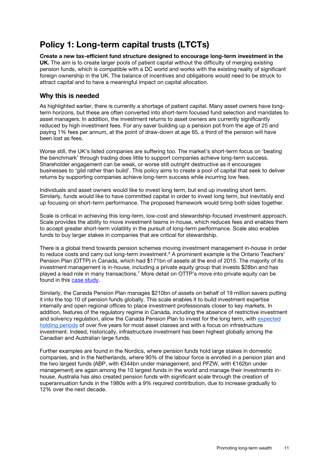### Policy 1: Long-term capital trusts (LTCTs)

Create a new tax-efficient fund structure designed to encourage long-term investment in the UK. The aim is to create larger pools of patient capital without the difficulty of merging existing pension funds, which is compatible with a DC world and works with the existing reality of significant foreign ownership in the UK. The balance of incentives and obligations would need to be struck to attract capital and to have a meaningful impact on capital allocation.

#### Why this is needed

As highlighted earlier, there is currently a shortage of patient capital. Many asset owners have longterm horizons, but these are often converted into short-term focused fund selection and mandates to asset managers. In addition, the investment returns to asset owners are currently significantly reduced by high investment fees. For any saver building up a pension pot from the age of 25 and paying 1% fees per annum, at the point of draw-down at age 65, a third of the pension will have been lost as fees.

Worse still, the UK's listed companies are suffering too. The market's short-term focus on 'beating the benchmark' through trading does little to support companies achieve long-term success. Shareholder engagement can be weak, or worse still outright destructive as it encourages businesses to 'gild rather than build'. This policy aims to create a pool of capital that seek to deliver returns by supporting companies achieve long-term success while incurring low fees.

Individuals and asset owners would like to invest long term, but end up investing short term. Similarly, funds would like to have committed capital in order to invest long term, but inevitably end up focusing on short-term performance. The proposed framework would bring both sides together.

Scale is critical in achieving this long-term, low-cost and stewardship-focused investment approach. Scale provides the ability to move investment teams in-house, which reduces fees and enables them to accept greater short-term volatility in the pursuit of long-term performance. Scale also enables funds to buy larger stakes in companies that are critical for stewardship.

There is a global trend towards pension schemes moving investment management in-house in order to reduce costs and carry out long-term investment.<sup>[6](#page-34-5)</sup> A prominent example is the Ontario Teachers' Pension Plan (OTTP) in Canada, which had \$171bn of assets at the end of 2015. The majority of its investment management is in-house, including a private equity group that invests \$28bn and has played a lead role in many transactions.[7](#page-34-6) More detail on OTTP's move into private equity can be found in this [case study.](http://centres.insead.edu/global-private-equity-initiative/research-publications/documents/5993-Going_Direct-CS-EN-0-06-2013-w-authors_000.pdf)

Similarly, the Canada Pension Plan manages \$210bn of assets on behalf of 19 million savers putting it into the top 10 of pension funds globally. This scale enables it to build investment expertise internally and open regional offices to place investment professionals closer to key markets. In addition, features of the regulatory regime in Canada, including the absence of restrictive investment and solvency regulation, allow the Canada Pension Plan to invest for the long term, with expected holding [periods](http://www.cppib.com/en/how-we-invest/compare-overview/long-horizon/) of over five years for most asset classes and with a focus on infrastructure investment. Indeed, historically, infrastructure investment has been highest globally among the Canadian and Australian large funds.

Further examples are found in the Nordics, where pension funds hold large stakes in domestic companies, and in the Netherlands, where 90% of the labour force is enrolled in a pension plan and the two largest funds (ABP, with €344bn under management, and PFZW, with €162bn under management) are again among the 10 largest funds in the world and manage their investments inhouse. Australia has also created pension funds with significant scale through the creation of superannuation funds in the 1980s with a 9% required contribution, due to increase gradually to 12% over the next decade.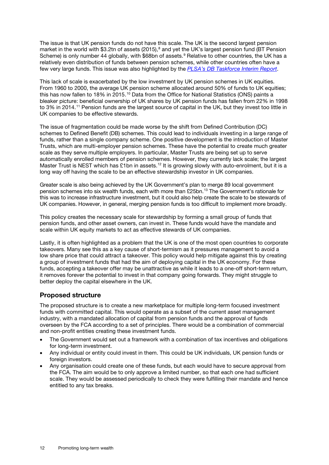The issue is that UK pension funds do not have this scale. The UK is the second largest pension market in the world with \$3.2tn of assets (2015),<sup>[8](#page-34-7)</sup> and yet the UK's largest pension fund (BT Pension Scheme) is only number 44 globally, with \$68bn of assets.<sup>[9](#page-34-8)</sup> Relative to other countries, the UK has a relatively even distribution of funds between pension schemes, while other countries often have a few very large funds. This issue was also highlighted by the *[PLSA's DB Taskforce Interim Report](http://www.plsa.co.uk/PolicyandResearch/DocumentLibrary/0597-DB-Taskforce-Interim-Report.aspx)*.

This lack of scale is exacerbated by the low investment by UK pension schemes in UK equities. From 1960 to 2000, the average UK pension scheme allocated around 50% of funds to UK equities; this has now fallen to 18% in 2015.<sup>[10](#page-34-9)</sup> Data from the Office for National Statistics (ONS) paints a bleaker picture: beneficial ownership of UK shares by UK pension funds has fallen from 22% in 1998 to 3% in 2014.<sup>[11](#page-34-10)</sup> Pension funds are the largest source of capital in the UK, but they invest too little in UK companies to be effective stewards.

The issue of fragmentation could be made worse by the shift from Defined Contribution (DC) schemes to Defined Benefit (DB) schemes. This could lead to individuals investing in a large range of funds, rather than a single company scheme. One positive development is the introduction of Master Trusts, which are multi-employer pension schemes. These have the potential to create much greater scale as they serve multiple employers. In particular, Master Trusts are being set up to serve automatically enrolled members of pension schemes. However, they currently lack scale; the largest Master Trust is NEST which has £1bn in assets.<sup>12</sup> It is growing slowly with auto-enrolment, but it is a long way off having the scale to be an effective stewardship investor in UK companies.

Greater scale is also being achieved by the UK Government's plan to merge 89 local government pension schemes into six wealth funds, each with more than £25bn.[13](#page-34-12) The Government's rationale for this was to increase infrastructure investment, but it could also help create the scale to be stewards of UK companies. However, in general, merging pension funds is too difficult to implement more broadly.

This policy creates the necessary scale for stewardship by forming a small group of funds that pension funds, and other asset owners, can invest in. These funds would have the mandate and scale within UK equity markets to act as effective stewards of UK companies.

Lastly, it is often highlighted as a problem that the UK is one of the most open countries to corporate takeovers. Many see this as a key cause of short-termism as it pressures management to avoid a low share price that could attract a takeover. This policy would help mitigate against this by creating a group of investment funds that had the aim of deploying capital in the UK economy. For these funds, accepting a takeover offer may be unattractive as while it leads to a one-off short-term return, it removes forever the potential to invest in that company going forwards. They might struggle to better deploy the capital elsewhere in the UK.

#### Proposed structure

The proposed structure is to create a new marketplace for multiple long-term focused investment funds with committed capital. This would operate as a subset of the current asset management industry, with a mandated allocation of capital from pension funds and the approval of funds overseen by the FCA according to a set of principles. There would be a combination of commercial and non-profit entities creating these investment funds.

- The Government would set out a framework with a combination of tax incentives and obligations for long-term investment.
- Any individual or entity could invest in them. This could be UK individuals, UK pension funds or foreign investors.
- Any organisation could create one of these funds, but each would have to secure approval from the FCA. The aim would be to only approve a limited number, so that each one had sufficient scale. They would be assessed periodically to check they were fulfilling their mandate and hence entitled to any tax breaks.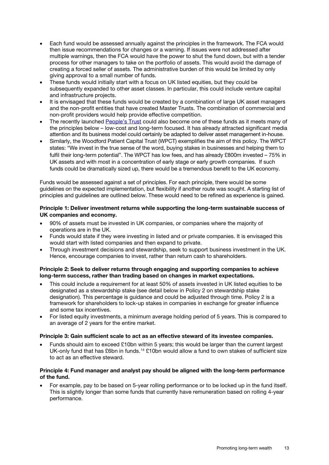- Each fund would be assessed annually against the principles in the framework. The FCA would then issue recommendations for changes or a warning. If issues were not addressed after multiple warnings, then the FCA would have the power to shut the fund down, but with a tender process for other managers to take on the portfolio of assets. This would avoid the damage of creating a forced seller of assets. The administrative burden of this would be limited by only giving approval to a small number of funds.
- These funds would initially start with a focus on UK listed equities, but they could be subsequently expanded to other asset classes. In particular, this could include venture capital and infrastructure projects.
- It is envisaged that these funds would be created by a combination of large UK asset managers and the non-profit entities that have created Master Trusts. The combination of commercial and non-profit providers would help provide effective competition.
- The recently launched **People's Trust** could also become one of these funds as it meets many of the principles below – low-cost and long-term focused. It has already attracted significant media attention and its business model could certainly be adapted to deliver asset management in-house.
- Similarly, the Woodford Patient Capital Trust (WPCT) exemplifies the aim of this policy. The WPCT states: "We invest in the true sense of the word, buying stakes in businesses and helping them to fulfil their long-term potential". The WPCT has low fees, and has already £800m invested – 75% in UK assets and with most in a concentration of early stage or early growth companies. If such funds could be dramatically sized up, there would be a tremendous benefit to the UK economy.

Funds would be assessed against a set of principles. For each principle, there would be some guidelines on the expected implementation, but flexibility if another route was sought. A starting list of principles and guidelines are outlined below. These would need to be refined as experience is gained.

#### Principle 1: Deliver investment returns while supporting the long-term sustainable success of UK companies and economy.

- 90% of assets must be invested in UK companies, or companies where the majority of operations are in the UK.
- Funds would state if they were investing in listed and or private companies. It is envisaged this would start with listed companies and then expand to private.
- Through investment decisions and stewardship, seek to support business investment in the UK. Hence, encourage companies to invest, rather than return cash to shareholders.

#### Principle 2: Seek to deliver returns through engaging and supporting companies to achieve long-term success, rather than trading based on changes in market expectations.

- This could include a requirement for at least 50% of assets invested in UK listed equities to be designated as a stewardship stake (see detail below in Policy 2 on stewardship stake designation). This percentage is guidance and could be adjusted through time. Policy 2 is a framework for shareholders to lock-up stakes in companies in exchange for greater influence and some tax incentives.
- For listed equity investments, a minimum average holding period of 5 years. This is compared to an average of 2 years for the entire market.

#### Principle 3: Gain sufficient scale to act as an effective steward of its investee companies.

• Funds should aim to exceed £10bn within 5 years; this would be larger than the current largest UK-only fund that has £6bn in funds.<sup>[14](#page-34-13)</sup> £10bn would allow a fund to own stakes of sufficient size to act as an effective steward.

#### Principle 4: Fund manager and analyst pay should be aligned with the long-term performance of the fund.

• For example, pay to be based on 5-year rolling performance or to be locked up in the fund itself. This is slightly longer than some funds that currently have remuneration based on rolling 4-year performance.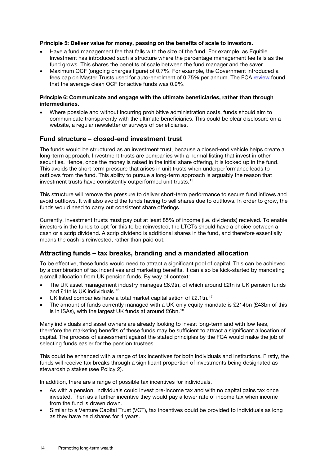#### Principle 5: Deliver value for money, passing on the benefits of scale to investors.

- Have a fund management fee that falls with the size of the fund. For example, as Equitile Investment has introduced such a structure where the percentage management fee falls as the fund grows. This shares the benefits of scale between the fund manager and the saver.
- Maximum OCF (ongoing charges figure) of 0.7%. For example, the Government introduced a fees cap on Master Trusts used for auto-enrolment of 0.75% per annum. The FCA [review](https://www.fca.org.uk/publications/market-studies/asset-management-market-study) found that the average clean OCF for active funds was 0.9%.

#### Principle 6: Communicate and engage with the ultimate beneficiaries, rather than through intermediaries.

• Where possible and without incurring prohibitive administration costs, funds should aim to communicate transparently with the ultimate beneficiaries. This could be clear disclosure on a website, a regular newsletter or surveys of beneficiaries.

#### Fund structure – closed-end investment trust

The funds would be structured as an investment trust, because a closed-end vehicle helps create a long-term approach. Investment trusts are companies with a normal listing that invest in other securities. Hence, once the money is raised in the initial share offering, it is locked up in the fund. This avoids the short-term pressure that arises in unit trusts when underperformance leads to outflows from the fund. This ability to pursue a long-term approach is arguably the reason that investment trusts have consistently outperformed unit trusts.[15](#page-34-14)

This structure will remove the pressure to deliver short-term performance to secure fund inflows and avoid outflows. It will also avoid the funds having to sell shares due to outflows. In order to grow, the funds would need to carry out consistent share offerings.

Currently, investment trusts must pay out at least 85% of income (i.e. dividends) received. To enable investors in the funds to opt for this to be reinvested, the LTCTs should have a choice between a cash or a scrip dividend. A scrip dividend is additional shares in the fund, and therefore essentially means the cash is reinvested, rather than paid out.

#### Attracting funds – tax breaks, branding and a mandated allocation

To be effective, these funds would need to attract a significant pool of capital. This can be achieved by a combination of tax incentives and marketing benefits. It can also be kick-started by mandating a small allocation from UK pension funds. By way of context:

- The UK asset management industry manages £6.9tn, of which around £2tn is UK pension funds and £1tn is UK individuals. [16](#page-34-15)
- UK listed companies have a total market capitalisation of £2.1tn.<sup>[17](#page-34-16)</sup>
- The amount of funds currently managed with a UK-only equity mandate is £214bn (£43bn of this is in ISAs), with the largest UK funds at around £6bn.<sup>[18](#page-34-17)</sup>

Many individuals and asset owners are already looking to invest long-term and with low fees, therefore the marketing benefits of these funds may be sufficient to attract a significant allocation of capital. The process of assessment against the stated principles by the FCA would make the job of selecting funds easier for the pension trustees.

This could be enhanced with a range of tax incentives for both individuals and institutions. Firstly, the funds will receive tax breaks through a significant proportion of investments being designated as stewardship stakes (see Policy 2).

In addition, there are a range of possible tax incentives for individuals.

- As with a pension, individuals could invest pre-income tax and with no capital gains tax once invested. Then as a further incentive they would pay a lower rate of income tax when income from the fund is drawn down.
- Similar to a Venture Capital Trust (VCT), tax incentives could be provided to individuals as long as they have held shares for 4 years.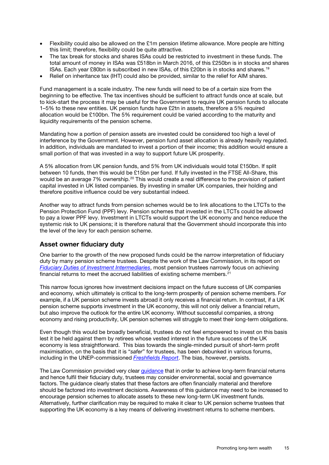- Flexibility could also be allowed on the £1m pension lifetime allowance. More people are hitting this limit; therefore, flexibility could be quite attractive.
- The tax break for stocks and shares ISAs could be restricted to investment in these funds. The total amount of money in ISAs was £518bn in March 2016, of this £250bn is in stocks and shares ISAs. Each year £80bn is subscribed in new ISAs, of this £20bn is in stocks and shares.[19](#page-34-18)
- Relief on inheritance tax (IHT) could also be provided, similar to the relief for AIM shares.

Fund management is a scale industry. The new funds will need to be of a certain size from the beginning to be effective. The tax incentives should be sufficient to attract funds once at scale, but to kick-start the process it may be useful for the Government to require UK pension funds to allocate 1–5% to these new entities. UK pension funds have £2tn in assets, therefore a 5% required allocation would be £100bn. The 5% requirement could be varied according to the maturity and liquidity requirements of the pension scheme.

Mandating how a portion of pension assets are invested could be considered too high a level of interference by the Government. However, pension fund asset allocation is already heavily regulated. In addition, individuals are mandated to invest a portion of their income; this addition would ensure a small portion of that was invested in a way to support future UK prosperity.

A 5% allocation from UK pension funds, and 5% from UK individuals would total £150bn. If split between 10 funds, then this would be £15bn per fund. If fully invested in the FTSE All-Share, this would be an average 7% ownership.<sup>[20](#page-34-19)</sup> This would create a real difference to the provision of patient capital invested in UK listed companies. By investing in smaller UK companies, their holding and therefore positive influence could be very substantial indeed.

Another way to attract funds from pension schemes would be to link allocations to the LTCTs to the Pension Protection Fund (PPF) levy. Pension schemes that invested in the LTCTs could be allowed to pay a lower PPF levy. Investment in LTCTs would support the UK economy and hence reduce the systemic risk to UK pensions; it is therefore natural that the Government should incorporate this into the level of the levy for each pension scheme.

#### Asset owner fiduciary duty

One barrier to the growth of the new proposed funds could be the narrow interpretation of fiduciary duty by many pension scheme trustees. Despite the work of the Law Commission, in its report on *[Fiduciary Duties of Investment Intermediaries](http://www.lawcom.gov.uk/project/fiduciary-duties-of-investment-intermediaries/)*, most pension trustees narrowly focus on achieving financial returns to meet the accrued liabilities of existing scheme members.<sup>21</sup>

This narrow focus ignores how investment decisions impact on the future success of UK companies and economy, which ultimately is critical to the long-term prosperity of pension scheme members. For example, if a UK pension scheme invests abroad it only receives a financial return. In contrast, if a UK pension scheme supports investment in the UK economy, this will not only deliver a financial return, but also improve the outlook for the entire UK economy. Without successful companies, a strong economy and rising productivity, UK pension schemes will struggle to meet their long-term obligations.

Even though this would be broadly beneficial, trustees do not feel empowered to invest on this basis lest it be held against them by retirees whose vested interest in the future success of the UK economy is less straightforward. This bias towards the single-minded pursuit of short-term profit maximisation, on the basis that it is "*safer*" for trustees, has been debunked in various forums, including in the UNEP-commissioned *[Freshfields Report](http://www.unepfi.org/fileadmin/documents/freshfields_legal_resp_20051123.pdf)*. The bias, however, persists.

The Law Commission provided very clear [guidance](http://www.lawcom.gov.uk/wp-content/uploads/2015/03/lc350_fiduciary_duties_guidance.pdf) that in order to achieve long-term financial returns and hence fulfil their fiduciary duty, trustees may consider environmental, social and governance factors. The guidance clearly states that these factors are often financially material and therefore should be factored into investment decisions. Awareness of this guidance may need to be increased to encourage pension schemes to allocate assets to these new long-term UK investment funds. Alternatively, further clarification may be required to make it clear to UK pension scheme trustees that supporting the UK economy is a key means of delivering investment returns to scheme members.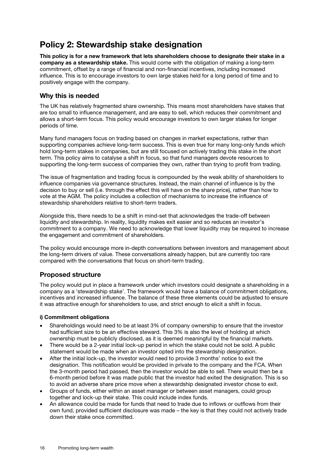### Policy 2: Stewardship stake designation

This policy is for a new framework that lets shareholders choose to designate their stake in a company as a stewardship stake. This would come with the obligation of making a long-term commitment, offset by a range of financial and non-financial incentives, including increased influence. This is to encourage investors to own large stakes held for a long period of time and to positively engage with the company.

#### Why this is needed

The UK has relatively fragmented share ownership. This means most shareholders have stakes that are too small to influence management, and are easy to sell, which reduces their commitment and allows a short-term focus. This policy would encourage investors to own larger stakes for longer periods of time.

Many fund managers focus on trading based on changes in market expectations, rather than supporting companies achieve long-term success. This is even true for many long-only funds which hold long-term stakes in companies, but are still focused on actively trading this stake in the short term. This policy aims to catalyse a shift in focus, so that fund managers devote resources to supporting the long-term success of companies they own, rather than trying to profit from trading.

The issue of fragmentation and trading focus is compounded by the weak ability of shareholders to influence companies via governance structures. Instead, the main channel of influence is by the decision to buy or sell (i.e. through the effect this will have on the share price), rather than how to vote at the AGM. The policy includes a collection of mechanisms to increase the influence of stewardship shareholders relative to short-term traders.

Alongside this, there needs to be a shift in mind-set that acknowledges the trade-off between liquidity and stewardship. In reality, liquidity makes exit easier and so reduces an investor's commitment to a company. We need to acknowledge that lower liquidity may be required to increase the engagement and commitment of shareholders.

The policy would encourage more in-depth conversations between investors and management about the long-term drivers of value. These conversations already happen, but are currently too rare compared with the conversations that focus on short-term trading.

#### Proposed structure

The policy would put in place a framework under which investors could designate a shareholding in a company as a 'stewardship stake'. The framework would have a balance of commitment obligations, incentives and increased influence. The balance of these three elements could be adjusted to ensure it was attractive enough for shareholders to use, and strict enough to elicit a shift in focus.

#### i) Commitment obligations

- Shareholdings would need to be at least 3% of company ownership to ensure that the investor had sufficient size to be an effective steward. This 3% is also the level of holding at which ownership must be publicly disclosed, as it is deemed meaningful by the financial markets.
- There would be a 2-year initial lock-up period in which the stake could not be sold. A public statement would be made when an investor opted into the stewardship designation.
- After the initial lock-up, the investor would need to provide 3 months' notice to exit the designation. This notification would be provided in private to the company and the FCA. When the 3-month period had passed, then the investor would be able to sell. There would then be a 6-month period before it was made public that the investor had exited the designation. This is so to avoid an adverse share price move when a stewardship designated investor chose to exit.
- Groups of funds, either within an asset manager or between asset managers, could group together and lock-up their stake. This could include index funds.
- An allowance could be made for funds that need to trade due to inflows or outflows from their own fund, provided sufficient disclosure was made – the key is that they could not actively trade down their stake once committed.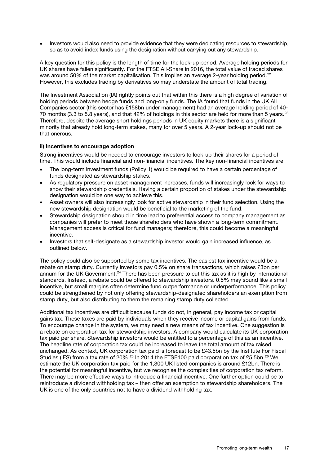• Investors would also need to provide evidence that they were dedicating resources to stewardship, so as to avoid index funds using the designation without carrying out any stewardship.

A key question for this policy is the length of time for the lock-up period. Average holding periods for UK shares have fallen significantly. For the FTSE All-Share in 2016, the total value of traded shares was around 50% of the market capitalisation. This implies an average 2-year holding period.<sup>[22](#page-34-21)</sup> However, this excludes trading by derivatives so may understate the amount of total trading.

The Investment Association (IA) rightly points out that within this there is a high degree of variation of holding periods between hedge funds and long-only funds. The IA found that funds in the UK All Companies sector (this sector has £158bn under management) had an average holding period of 40- 70 months (3.3 to 5.8 years), and that 42% of holdings in this sector are held for more than 5 years.<sup>[23](#page-34-22)</sup> Therefore, despite the average short holdings periods in UK equity markets there is a significant minority that already hold long-term stakes, many for over 5 years. A 2-year lock-up should not be that onerous.

#### ii) Incentives to encourage adoption

Strong incentives would be needed to encourage investors to lock-up their shares for a period of time. This would include financial and non-financial incentives. The key non-financial incentives are:

- The long-term investment funds (Policy 1) would be required to have a certain percentage of funds designated as stewardship stakes.
- As regulatory pressure on asset management increases, funds will increasingly look for ways to show their stewardship credentials. Having a certain proportion of stakes under the stewardship designation would be one way to achieve this.
- Asset owners will also increasingly look for active stewardship in their fund selection. Using the new stewardship designation would be beneficial to the marketing of the fund.
- Stewardship designation should in time lead to preferential access to company management as companies will prefer to meet those shareholders who have shown a long-term commitment. Management access is critical for fund managers; therefore, this could become a meaningful incentive.
- Investors that self-designate as a stewardship investor would gain increased influence, as outlined below.

The policy could also be supported by some tax incentives. The easiest tax incentive would be a rebate on stamp duty. Currently investors pay 0.5% on share transactions, which raises £3bn per annum for the UK Government.<sup>[24](#page-34-23)</sup> There has been pressure to cut this tax as it is high by international standards. Instead, a rebate could be offered to stewardship investors. 0.5% may sound like a small incentive, but small margins often determine fund outperformance or underperformance. This policy could be strengthened by not only offering stewardship-designated shareholders an exemption from stamp duty, but also distributing to them the remaining stamp duty collected.

Additional tax incentives are difficult because funds do not, in general, pay income tax or capital gains tax. These taxes are paid by individuals when they receive income or capital gains from funds. To encourage change in the system, we may need a new means of tax incentive. One suggestion is a rebate on corporation tax for stewardship investors. A company would calculate its UK corporation tax paid per share. Stewardship investors would be entitled to a percentage of this as an incentive. The headline rate of corporation tax could be increased to leave the total amount of tax raised unchanged. As context, UK corporation tax paid is forecast to be £43.5bn by the Institute For Fiscal Studies (IFS) from a tax rate of 20%.<sup>[25](#page-34-24)</sup> In 2014 the FTSE100 paid corporation tax of £5.5bn.<sup>[26](#page-34-25)</sup> We estimate the UK corporation tax paid for the 1,300 UK listed companies is around £12bn. There is the potential for meaningful incentive, but we recognise the complexities of corporation tax reform. There may be more effective ways to introduce a financial incentive. One further option could be to reintroduce a dividend withholding tax – then offer an exemption to stewardship shareholders. The UK is one of the only countries not to have a dividend withholding tax.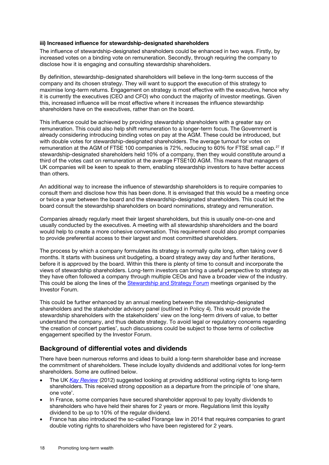#### iii) Increased influence for stewardship-designated shareholders

The influence of stewardship-designated shareholders could be enhanced in two ways. Firstly, by increased votes on a binding vote on remuneration. Secondly, through requiring the company to disclose how it is engaging and consulting stewardship shareholders.

By definition, stewardship-designated shareholders will believe in the long-term success of the company and its chosen strategy. They will want to support the execution of this strategy to maximise long-term returns. Engagement on strategy is most effective with the executive, hence why it is currently the executives (CEO and CFO) who conduct the majority of investor meetings. Given this, increased influence will be most effective where it increases the influence stewardship shareholders have on the executives, rather than on the board.

This influence could be achieved by providing stewardship shareholders with a greater say on remuneration. This could also help shift remuneration to a longer-term focus. The Government is already considering introducing binding votes on pay at the AGM. These could be introduced, but with double votes for stewardship-designated shareholders. The average turnout for votes on remuneration at the AGM of FTSE 100 companies is 72%, reducing to 60% for FTSE small cap.<sup>[27](#page-34-26)</sup> If stewardship-designated shareholders held 10% of a company, then they would constitute around a third of the votes cast on remuneration at the average FTSE100 AGM. This means that managers of UK companies will be keen to speak to them, enabling stewardship investors to have better access than others.

An additional way to increase the influence of stewardship shareholders is to require companies to consult them and disclose how this has been done. It is envisaged that this would be a meeting once or twice a year between the board and the stewardship-designated shareholders. This could let the board consult the stewardship shareholders on board nominations, strategy and remuneration.

Companies already regularly meet their largest shareholders, but this is usually one-on-one and usually conducted by the executives. A meeting with all stewardship shareholders and the board would help to create a more cohesive conversation. This requirement could also prompt companies to provide preferential access to their largest and most committed shareholders.

The process by which a company formulates its strategy is normally quite long, often taking over 6 months. It starts with business unit budgeting, a board strategy away day and further iterations, before it is approved by the board. Within this there is plenty of time to consult and incorporate the views of stewardship shareholders. Long-term investors can bring a useful perspective to strategy as they have often followed a company through multiple CEOs and have a broader view of the industry. This could be along the lines of the [Stewardship and Strategy Forum](http://www.investorforum.org.uk/stewardship-360) meetings organised by the Investor Forum.

This could be further enhanced by an annual meeting between the stewardship-designated shareholders and the stakeholder advisory panel (outlined in Policy 4). This would provide the stewardship shareholders with the stakeholders' view on the long-term drivers of value, to better understand the company, and thus debate strategy. To avoid legal or regulatory concerns regarding 'the creation of concert parties', such discussions could be subject to those terms of collective engagement specified by the Investor Forum.

#### Background of differential votes and dividends

There have been numerous reforms and ideas to build a long-term shareholder base and increase the commitment of shareholders. These include loyalty dividends and additional votes for long-term shareholders. Some are outlined below.

- The UK *[Kay Review](https://www.gov.uk/government/uploads/system/uploads/attachment_data/file/253454/bis-12-917-kay-review-of-equity-markets-final-report.pdf)* (2012) suggested looking at providing additional voting rights to long-term shareholders. This received strong opposition as a departure from the principle of 'one share, one vote'.
- In France, some companies have secured shareholder approval to pay loyalty dividends to shareholders who have held their shares for 2 years or more. Regulations limit this loyalty dividend to be up to 10% of the regular dividend.
- France has also introduced the so-called Florange law in 2014 that requires companies to grant double voting rights to shareholders who have been registered for 2 years.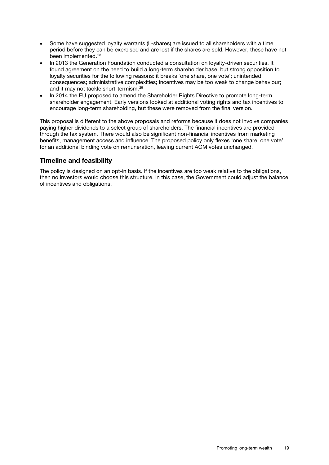- Some have suggested loyalty warrants (L-shares) are issued to all shareholders with a time period before they can be exercised and are lost if the shares are sold. However, these have not been implemented.<sup>[28](#page-34-27)</sup>
- In 2013 the Generation Foundation conducted a consultation on loyalty-driven securities. It found agreement on the need to build a long-term shareholder base, but strong opposition to loyalty securities for the following reasons: it breaks 'one share, one vote'; unintended consequences; administrative complexities; incentives may be too weak to change behaviour; and it may not tackle short-termism.[29](#page-34-28)
- In 2014 the EU proposed to amend the Shareholder Rights Directive to promote long-term shareholder engagement. Early versions looked at additional voting rights and tax incentives to encourage long-term shareholding, but these were removed from the final version.

This proposal is different to the above proposals and reforms because it does not involve companies paying higher dividends to a select group of shareholders. The financial incentives are provided through the tax system. There would also be significant non-financial incentives from marketing benefits, management access and influence. The proposed policy only flexes 'one share, one vote' for an additional binding vote on remuneration, leaving current AGM votes unchanged.

#### Timeline and feasibility

The policy is designed on an opt-in basis. If the incentives are too weak relative to the obligations, then no investors would choose this structure. In this case, the Government could adjust the balance of incentives and obligations.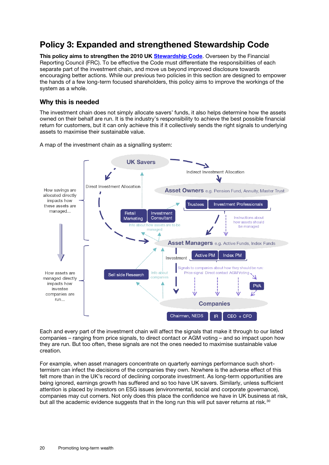### Policy 3: Expanded and strengthened Stewardship Code

This policy aims to strengthen the 2010 UK [Stewardship Code](https://www.frc.org.uk/Our-Work/Codes-Standards/Corporate-governance/UK-Stewardship-Code.aspx). Overseen by the Financial Reporting Council (FRC). To be effective the Code must differentiate the responsibilities of each separate part of the investment chain, and move us beyond improved disclosure towards encouraging better actions. While our previous two policies in this section are designed to empower the hands of a few long-term focused shareholders, this policy aims to improve the workings of the system as a whole.

#### Why this is needed

The investment chain does not simply allocate savers' funds, it also helps determine how the assets owned on their behalf are run. It is the industry's responsibility to achieve the best possible financial return for customers, but it can only achieve this if it collectively sends the right signals to underlying assets to maximise their sustainable value.

A map of the investment chain as a signalling system:



Each and every part of the investment chain will affect the signals that make it through to our listed companies – ranging from price signals, to direct contact or AGM voting – and so impact upon how they are run. But too often, these signals are not the ones needed to maximise sustainable value creation.

For example, when asset managers concentrate on quarterly earnings performance such shorttermism can infect the decisions of the companies they own. Nowhere is the adverse effect of this felt more than in the UK's record of declining corporate investment. As long-term opportunities are being ignored, earnings growth has suffered and so too have UK savers. Similarly, unless sufficient attention is placed by investors on ESG issues (environmental, social and corporate governance), companies may cut corners. Not only does this place the confidence we have in UK business at risk, but all the academic evidence suggests that in the long run this will put saver returns at risk.<sup>[30](#page-34-29)</sup>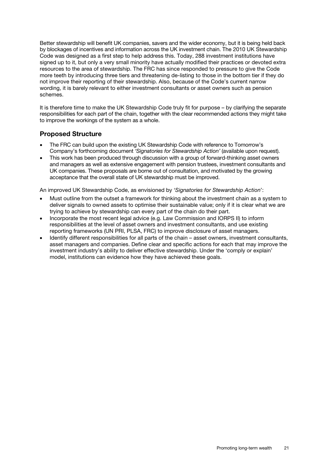Better stewardship will benefit UK companies, savers and the wider economy, but it is being held back by blockages of incentives and information across the UK investment chain. The 2010 UK Stewardship Code was designed as a first step to help address this. Today, 288 investment institutions have signed up to it, but only a very small minority have actually modified their practices or devoted extra resources to the area of stewardship. The FRC has since responded to pressure to give the Code more teeth by introducing three tiers and threatening de-listing to those in the bottom tier if they do not improve their reporting of their stewardship. Also, because of the Code's current narrow wording, it is barely relevant to either investment consultants or asset owners such as pension schemes.

It is therefore time to make the UK Stewardship Code truly fit for purpose – by clarifying the separate responsibilities for each part of the chain, together with the clear recommended actions they might take to improve the workings of the system as a whole.

#### Proposed Structure

- The FRC can build upon the existing UK Stewardship Code with reference to Tomorrow's Company's forthcoming document *'Signatories for Stewardship Action'* (available upon request).
- This work has been produced through discussion with a group of forward-thinking asset owners and managers as well as extensive engagement with pension trustees, investment consultants and UK companies. These proposals are borne out of consultation, and motivated by the growing acceptance that the overall state of UK stewardship must be improved.

An improved UK Stewardship Code, as envisioned by '*Signatories for Stewardship Action*':

- Must outline from the outset a framework for thinking about the investment chain as a system to deliver signals to owned assets to optimise their sustainable value; only if it is clear what we are trying to achieve by stewardship can every part of the chain do their part.
- Incorporate the most recent legal advice (e.g. Law Commission and IORPS II) to inform responsibilities at the level of asset owners and investment consultants, and use existing reporting frameworks (UN PRI, PLSA, FRC) to improve disclosure of asset managers.
- Identify different responsibilities for all parts of the chain asset owners, investment consultants, asset managers and companies. Define clear and specific actions for each that may improve the investment industry's ability to deliver effective stewardship. Under the 'comply or explain' model, institutions can evidence how they have achieved these goals.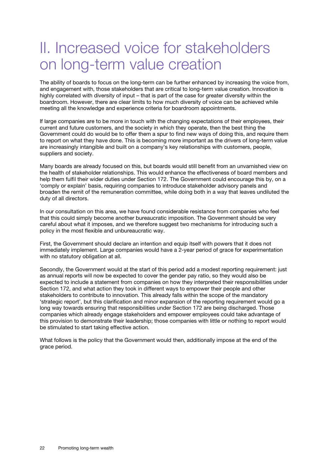# II. Increased voice for stakeholders on long-term value creation

The ability of boards to focus on the long-term can be further enhanced by increasing the voice from, and engagement with, those stakeholders that are critical to long-term value creation. Innovation is highly correlated with diversity of input – that is part of the case for greater diversity within the boardroom. However, there are clear limits to how much diversity of voice can be achieved while meeting all the knowledge and experience criteria for boardroom appointments.

If large companies are to be more in touch with the changing expectations of their employees, their current and future customers, and the society in which they operate, then the best thing the Government could do would be to offer them a spur to find new ways of doing this, and require them to report on what they have done. This is becoming more important as the drivers of long-term value are increasingly intangible and built on a company's key relationships with customers, people, suppliers and society.

Many boards are already focused on this, but boards would still benefit from an unvarnished view on the health of stakeholder relationships. This would enhance the effectiveness of board members and help them fulfil their wider duties under Section 172. The Government could encourage this by, on a 'comply or explain' basis, requiring companies to introduce stakeholder advisory panels and broaden the remit of the remuneration committee, while doing both in a way that leaves undiluted the duty of all directors.

In our consultation on this area, we have found considerable resistance from companies who feel that this could simply become another bureaucratic imposition. The Government should be very careful about what it imposes, and we therefore suggest two mechanisms for introducing such a policy in the most flexible and unbureaucratic way.

First, the Government should declare an intention and equip itself with powers that it does not immediately implement. Large companies would have a 2-year period of grace for experimentation with no statutory obligation at all.

Secondly, the Government would at the start of this period add a modest reporting requirement: just as annual reports will now be expected to cover the gender pay ratio, so they would also be expected to include a statement from companies on how they interpreted their responsibilities under Section 172, and what action they took in different ways to empower their people and other stakeholders to contribute to innovation. This already falls within the scope of the mandatory 'strategic report', but this clarification and minor expansion of the reporting requirement would go a long way towards ensuring that responsibilities under Section 172 are being discharged. Those companies which already engage stakeholders and empower employees could take advantage of this provision to demonstrate their leadership; those companies with little or nothing to report would be stimulated to start taking effective action.

What follows is the policy that the Government would then, additionally impose at the end of the grace period.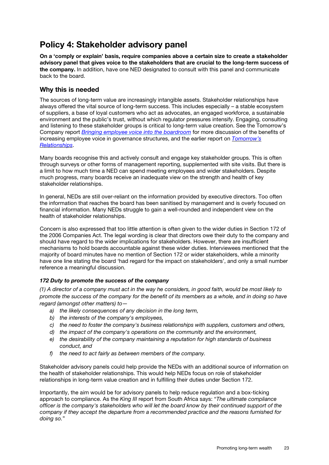### Policy 4: Stakeholder advisory panel

On a 'comply or explain' basis, require companies above a certain size to create a stakeholder advisory panel that gives voice to the stakeholders that are crucial to the long-term success of the company. In addition, have one NED designated to consult with this panel and communicate back to the board.

#### Why this is needed

The sources of long-term value are increasingly intangible assets. Stakeholder relationships have always offered the vital source of long-term success. This includes especially – a stable ecosystem of suppliers, a base of loyal customers who act as advocates, an engaged workforce, a sustainable environment and the public's trust, without which regulator pressures intensify. Engaging, consulting and listening to these stakeholder groups is critical to long-term value creation. See the Tomorrow's Company report *[Bringing employee voice into the boardroom](http://tomorrowscompany.com/publication/employees-on-boards/)* for more discussion of the benefits of increasing employee voice in governance structures, and the earlier report on *[Tomorrow's](http://tomorrowscompany.com/publication/tomorrows-relationships-unlocking-value/)  [Relationships](http://tomorrowscompany.com/publication/tomorrows-relationships-unlocking-value/)*.

Many boards recognise this and actively consult and engage key stakeholder groups. This is often through surveys or other forms of management reporting, supplemented with site visits. But there is a limit to how much time a NED can spend meeting employees and wider stakeholders. Despite much progress, many boards receive an inadequate view on the strength and health of key stakeholder relationships.

In general, NEDs are still over-reliant on the information provided by executive directors. Too often the information that reaches the board has been sanitised by management and is overly focused on financial information. Many NEDs struggle to gain a well-rounded and independent view on the health of stakeholder relationships.

Concern is also expressed that too little attention is often given to the wider duties in Section 172 of the 2006 Companies Act. The legal wording is clear that directors owe their duty to the company and should have regard to the wider implications for stakeholders. However, there are insufficient mechanisms to hold boards accountable against these wider duties. Interviewees mentioned that the majority of board minutes have no mention of Section 172 or wider stakeholders, while a minority have one line stating the board 'had regard for the impact on stakeholders', and only a small number reference a meaningful discussion.

#### *172 Duty to promote the success of the company*

*(1) A director of a company must act in the way he considers, in good faith, would be most likely to promote the success of the company for the benefit of its members as a whole, and in doing so have regard (amongst other matters) to—*

- *a) the likely consequences of any decision in the long term,*
- *b) the interests of the company's employees,*
- *c) the need to foster the company's business relationships with suppliers, customers and others,*
- *d) the impact of the company's operations on the community and the environment,*
- *e) the desirability of the company maintaining a reputation for high standards of business conduct, and*
- *f) the need to act fairly as between members of the company.*

Stakeholder advisory panels could help provide the NEDs with an additional source of information on the health of stakeholder relationships. This would help NEDs focus on role of stakeholder relationships in long-term value creation and in fulfilling their duties under Section 172.

Importantly, the aim would be for advisory panels to help reduce regulation and a box-ticking approach to compliance. As the *King III* report from South Africa says: "*The ultimate compliance officer is the company's stakeholders who will let the board know by their continued support of the company if they accept the departure from a recommended practice and the reasons furnished for doing so.*"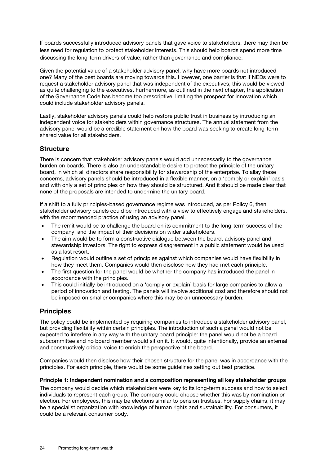If boards successfully introduced advisory panels that gave voice to stakeholders, there may then be less need for regulation to protect stakeholder interests. This should help boards spend more time discussing the long-term drivers of value, rather than governance and compliance.

Given the potential value of a stakeholder advisory panel, why have more boards not introduced one? Many of the best boards are moving towards this. However, one barrier is that if NEDs were to request a stakeholder advisory panel that was independent of the executives, this would be viewed as quite challenging to the executives. Furthermore, as outlined in the next chapter, the application of the Governance Code has become too prescriptive, limiting the prospect for innovation which could include stakeholder advisory panels.

Lastly, stakeholder advisory panels could help restore public trust in business by introducing an independent voice for stakeholders within governance structures. The annual statement from the advisory panel would be a credible statement on how the board was seeking to create long-term shared value for all stakeholders.

#### **Structure**

There is concern that stakeholder advisory panels would add unnecessarily to the governance burden on boards. There is also an understandable desire to protect the principle of the unitary board, in which all directors share responsibility for stewardship of the enterprise. To allay these concerns, advisory panels should be introduced in a flexible manner, on a 'comply or explain' basis and with only a set of principles on how they should be structured. And it should be made clear that none of the proposals are intended to undermine the unitary board.

If a shift to a fully principles-based governance regime was introduced, as per Policy 6, then stakeholder advisory panels could be introduced with a view to effectively engage and stakeholders, with the recommended practice of using an advisory panel.

- The remit would be to challenge the board on its commitment to the long-term success of the company, and the impact of their decisions on wider stakeholders.
- The aim would be to form a constructive dialogue between the board, advisory panel and stewardship investors. The right to express disagreement in a public statement would be used as a last resort.
- Regulation would outline a set of principles against which companies would have flexibility in how they meet them. Companies would then disclose how they had met each principle.
- The first question for the panel would be whether the company has introduced the panel in accordance with the principles.
- This could initially be introduced on a 'comply or explain' basis for large companies to allow a period of innovation and testing. The panels will involve additional cost and therefore should not be imposed on smaller companies where this may be an unnecessary burden.

#### **Principles**

The policy could be implemented by requiring companies to introduce a stakeholder advisory panel, but providing flexibility within certain principles. The introduction of such a panel would not be expected to interfere in any way with the unitary board principle: the panel would not be a board subcommittee and no board member would sit on it. It would, quite intentionally, provide an external and constructively critical voice to enrich the perspective of the board.

Companies would then disclose how their chosen structure for the panel was in accordance with the principles. For each principle, there would be some guidelines setting out best practice.

#### Principle 1: Independent nomination and a composition representing all key stakeholder groups

The company would decide which stakeholders were key to its long-term success and how to select individuals to represent each group. The company could choose whether this was by nomination or election. For employees, this may be elections similar to pension trustees. For supply chains, it may be a specialist organization with knowledge of human rights and sustainability. For consumers, it could be a relevant consumer body.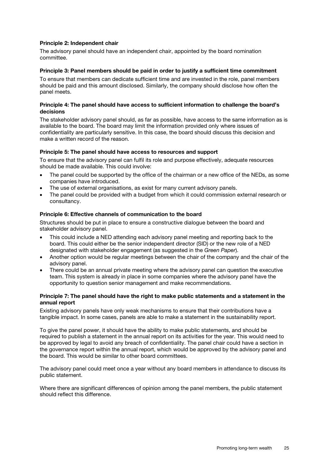#### Principle 2: Independent chair

The advisory panel should have an independent chair, appointed by the board nomination committee.

#### Principle 3: Panel members should be paid in order to justify a sufficient time commitment

To ensure that members can dedicate sufficient time and are invested in the role, panel members should be paid and this amount disclosed. Similarly, the company should disclose how often the panel meets.

#### Principle 4: The panel should have access to sufficient information to challenge the board's decisions

The stakeholder advisory panel should, as far as possible, have access to the same information as is available to the board. The board may limit the information provided only where issues of confidentiality are particularly sensitive. In this case, the board should discuss this decision and make a written record of the reason.

#### Principle 5: The panel should have access to resources and support

To ensure that the advisory panel can fulfil its role and purpose effectively, adequate resources should be made available. This could involve:

- The panel could be supported by the office of the chairman or a new office of the NEDs, as some companies have introduced.
- The use of external organisations, as exist for many current advisory panels.
- The panel could be provided with a budget from which it could commission external research or consultancy.

#### Principle 6: Effective channels of communication to the board

Structures should be put in place to ensure a constructive dialogue between the board and stakeholder advisory panel.

- This could include a NED attending each advisory panel meeting and reporting back to the board. This could either be the senior independent director (SID) or the new role of a NED designated with stakeholder engagement (as suggested in the *Green Paper*).
- Another option would be regular meetings between the chair of the company and the chair of the advisory panel.
- There could be an annual private meeting where the advisory panel can question the executive team. This system is already in place in some companies where the advisory panel have the opportunity to question senior management and make recommendations.

#### Principle 7: The panel should have the right to make public statements and a statement in the annual report

Existing advisory panels have only weak mechanisms to ensure that their contributions have a tangible impact. In some cases, panels are able to make a statement in the sustainability report.

To give the panel power, it should have the ability to make public statements, and should be required to publish a statement in the annual report on its activities for the year. This would need to be approved by legal to avoid any breach of confidentiality. The panel chair could have a section in the governance report within the annual report, which would be approved by the advisory panel and the board. This would be similar to other board committees.

The advisory panel could meet once a year without any board members in attendance to discuss its public statement.

Where there are significant differences of opinion among the panel members, the public statement should reflect this difference.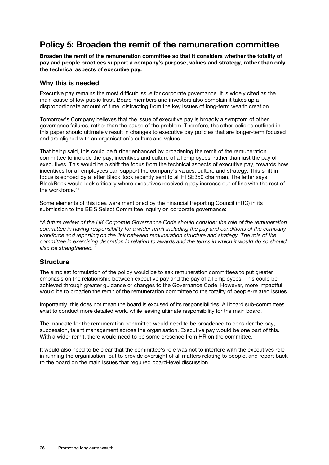### Policy 5: Broaden the remit of the remuneration committee

Broaden the remit of the remuneration committee so that it considers whether the totality of pay and people practices support a company's purpose, values and strategy, rather than only the technical aspects of executive pay.

#### Why this is needed

Executive pay remains the most difficult issue for corporate governance. It is widely cited as the main cause of low public trust. Board members and investors also complain it takes up a disproportionate amount of time, distracting from the key issues of long-term wealth creation.

Tomorrow's Company believes that the issue of executive pay is broadly a symptom of other governance failures, rather than the cause of the problem. Therefore, the other policies outlined in this paper should ultimately result in changes to executive pay policies that are longer-term focused and are aligned with an organisation's culture and values.

That being said, this could be further enhanced by broadening the remit of the remuneration committee to include the pay, incentives and culture of all employees, rather than just the pay of executives. This would help shift the focus from the technical aspects of executive pay, towards how incentives for all employees can support the company's values, culture and strategy. This shift in focus is echoed by a letter BlackRock recently sent to all FTSE350 chairman. The letter says BlackRock would look critically where executives received a pay increase out of line with the rest of the workforce.<sup>[31](#page-34-30)</sup>

Some elements of this idea were mentioned by the Financial Reporting Council (FRC) in its submission to the BEIS Select Committee inquiry on corporate governance:

*"A future review of the UK Corporate Governance Code should consider the role of the remuneration committee in having responsibility for a wider remit including the pay and conditions of the company workforce and reporting on the link between remuneration structure and strategy. The role of the committee in exercising discretion in relation to awards and the terms in which it would do so should also be strengthened."*

#### **Structure**

The simplest formulation of the policy would be to ask remuneration committees to put greater emphasis on the relationship between executive pay and the pay of all employees. This could be achieved through greater guidance or changes to the Governance Code. However, more impactful would be to broaden the remit of the remuneration committee to the totality of people-related issues.

Importantly, this does not mean the board is excused of its responsibilities. All board sub-committees exist to conduct more detailed work, while leaving ultimate responsibility for the main board.

The mandate for the remuneration committee would need to be broadened to consider the pay, succession, talent management across the organisation. Executive pay would be one part of this. With a wider remit, there would need to be some presence from HR on the committee.

It would also need to be clear that the committee's role was not to interfere with the executives role in running the organisation, but to provide oversight of all matters relating to people, and report back to the board on the main issues that required board-level discussion.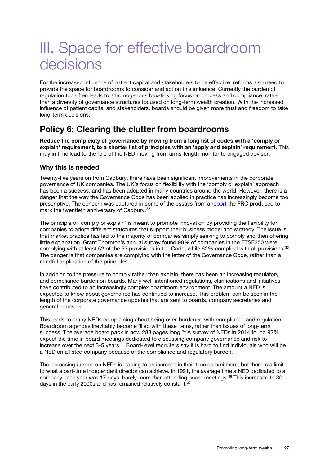# III. Space for effective boardroom decisions

For the increased influence of patient capital and stakeholders to be effective, reforms also need to provide the space for boardrooms to consider and act on this influence. Currently the burden of regulation too often leads to a homogenous box-ticking focus on process and compliance, rather than a diversity of governance structures focused on long-term wealth creation. With the increased influence of patient capital and stakeholders, boards should be given more trust and freedom to take long-term decisions.

### Policy 6: Clearing the clutter from boardrooms

Reduce the complexity of governance by moving from a long list of codes with a 'comply or explain' requirement, to a shorter list of principles with an 'apply and explain' requirement. This may in time lead to the role of the NED moving from arms-length monitor to engaged advisor.

#### Why this is needed

Twenty-five years on from Cadbury, there have been significant improvements in the corporate governance of UK companies. The UK's focus on flexibility with the 'comply or explain' approach has been a success, and has been adopted in many countries around the world. However, there is a danger that the way the Governance Code has been applied in practice has increasingly become too prescriptive. The concern was captured in some of the essays from a [report](https://www.frc.org.uk/Our-Work/Publications/Corporate-Governance/Comply-or-Explain-20th-Anniversary-of-the-UK-Corpo.aspx) the FRC produced to mark the twentieth anniversary of Cadbury.[32](#page-34-31)

The principle of 'comply or explain' is meant to promote innovation by providing the flexibility for companies to adopt different structures that support their business model and strategy. The issue is that market practice has led to the majority of companies simply seeking to comply and then offering little explanation. Grant Thornton's annual survey found 90% of companies in the FTSE350 were complying with at least 52 of the 53 provisions in the Code, while 62% complied with all provisions.<sup>[33](#page-34-32)</sup> The danger is that companies are complying with the letter of the Governance Code, rather than a mindful application of the principles.

In addition to the pressure to comply rather than explain, there has been an increasing regulatory and compliance burden on boards. Many well-intentioned regulations, clarifications and initiatives have contributed to an increasingly complex boardroom environment. The amount a NED is expected to know about governance has continued to increase. This problem can be seen in the length of the corporate governance updates that are sent to boards, company secretaries and general counsels.

This leads to many NEDs complaining about being over-burdened with compliance and regulation. Boardroom agendas inevitably become filled with these items, rather than issues of long-term success. The average board pack is now 288 pages long.<sup>[34](#page-34-33)</sup> A survey of NEDs in 2014 found 92% expect the time in board meetings dedicated to discussing company governance and risk to increase over the next 3-5 years.<sup>[35](#page-34-34)</sup> Board-level recruiters say it is hard to find individuals who will be a NED on a listed company because of the compliance and regulatory burden.

The increasing burden on NEDs is leading to an increase in their time commitment, but there is a limit to what a part-time independent director can achieve. In 1991, the average time a NED dedicated to a company each year was 17 days, barely more than attending board meetings.[36](#page-34-35) This increased to 30 days in the early 2000s and has remained relatively constant.<sup>[37](#page-34-36)</sup>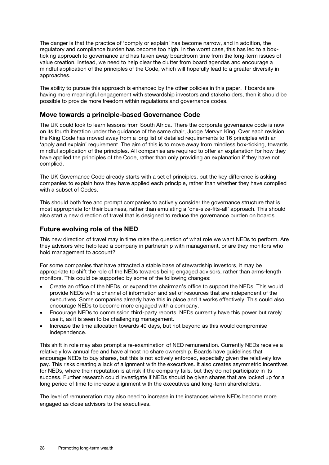The danger is that the practice of 'comply or explain' has become narrow, and in addition, the regulatory and compliance burden has become too high. In the worst case, this has led to a boxticking approach to governance and has taken away boardroom time from the long-term issues of value creation. Instead, we need to help clear the clutter from board agendas and encourage a mindful application of the principles of the Code, which will hopefully lead to a greater diversity in approaches.

The ability to pursue this approach is enhanced by the other policies in this paper. If boards are having more meaningful engagement with stewardship investors and stakeholders, then it should be possible to provide more freedom within regulations and governance codes.

#### Move towards a principle-based Governance Code

The UK could look to learn lessons from South Africa. There the corporate governance code is now on its fourth iteration under the guidance of the same chair, Judge Mervyn King. Over each revision, the King Code has moved away from a long list of detailed requirements to 16 principles with an 'apply and explain' requirement. The aim of this is to move away from mindless box-ticking, towards mindful application of the principles. All companies are required to offer an explanation for how they have applied the principles of the Code, rather than only providing an explanation if they have not complied.

The UK Governance Code already starts with a set of principles, but the key difference is asking companies to explain how they have applied each principle, rather than whether they have complied with a subset of Codes.

This should both free and prompt companies to actively consider the governance structure that is most appropriate for their business, rather than emulating a 'one-size-fits-all' approach. This should also start a new direction of travel that is designed to reduce the governance burden on boards.

#### Future evolving role of the NED

This new direction of travel may in time raise the question of what role we want NEDs to perform. Are they advisors who help lead a company in partnership with management, or are they monitors who hold management to account?

For some companies that have attracted a stable base of stewardship investors, it may be appropriate to shift the role of the NEDs towards being engaged advisors, rather than arms-length monitors. This could be supported by some of the following changes:

- Create an office of the NEDs, or expand the chairman's office to support the NEDs. This would provide NEDs with a channel of information and set of resources that are independent of the executives. Some companies already have this in place and it works effectively. This could also encourage NEDs to become more engaged with a company.
- Encourage NEDs to commission third-party reports. NEDs currently have this power but rarely use it, as it is seen to be challenging management.
- Increase the time allocation towards 40 days, but not beyond as this would compromise independence.

This shift in role may also prompt a re-examination of NED remuneration. Currently NEDs receive a relatively low annual fee and have almost no share ownership. Boards have guidelines that encourage NEDs to buy shares, but this is not actively enforced, especially given the relatively low pay. This risks creating a lack of alignment with the executives. It also creates asymmetric incentives for NEDs, where their reputation is at risk if the company fails, but they do not participate in its success. Further research could investigate if NEDs should be given shares that are locked up for a long period of time to increase alignment with the executives and long-term shareholders.

The level of remuneration may also need to increase in the instances where NEDs become more engaged as close advisors to the executives.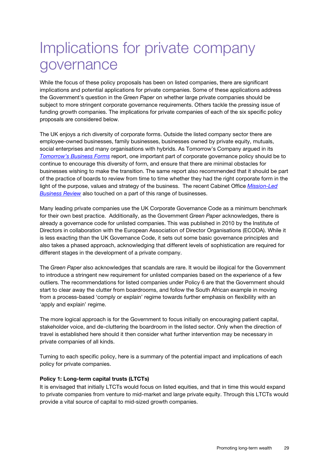# Implications for private company governance

While the focus of these policy proposals has been on listed companies, there are significant implications and potential applications for private companies. Some of these applications address the Government's question in the *Green Paper* on whether large private companies should be subject to more stringent corporate governance requirements. Others tackle the pressing issue of funding growth companies. The implications for private companies of each of the six specific policy proposals are considered below.

The UK enjoys a rich diversity of corporate forms. Outside the listed company sector there are employee-owned businesses, family businesses, businesses owned by private equity, mutuals, social enterprises and many organisations with hybrids. As Tomorrow's Company argued in its *[Tomorrow's Business Forms](http://tomorrowscompany.com/publication/tomorrows-business-forms-making-the-right-choices-of-ownership-structure-and-governance-to-deliver-success-for-business-and-society/)* report, one important part of corporate governance policy should be to continue to encourage this diversity of form, and ensure that there are minimal obstacles for businesses wishing to make the transition. The same report also recommended that it should be part of the practice of boards to review from time to time whether they had the right corporate form in the light of the purpose, values and strategy of the business. The recent Cabinet Office *[Mission-Led](https://www.gov.uk/government/publications/advisory-panel-to-mission-led-business-review-final-report)  [Business Review](https://www.gov.uk/government/publications/advisory-panel-to-mission-led-business-review-final-report)* also touched on a part of this range of businesses.

Many leading private companies use the UK Corporate Governance Code as a minimum benchmark for their own best practice. Additionally, as the Government *Green Paper* acknowledges, there is already a governance code for unlisted companies. This was published in 2010 by the Institute of Directors in collaboration with the European Association of Director Organisations (ECODA). While it is less exacting than the UK Governance Code, it sets out some basic governance principles and also takes a phased approach, acknowledging that different levels of sophistication are required for different stages in the development of a private company.

The *Green Paper* also acknowledges that scandals are rare. It would be illogical for the Government to introduce a stringent new requirement for unlisted companies based on the experience of a few outliers. The recommendations for listed companies under Policy 6 are that the Government should start to clear away the clutter from boardrooms, and follow the South African example in moving from a process-based 'comply or explain' regime towards further emphasis on flexibility with an 'apply and explain' regime.

The more logical approach is for the Government to focus initially on encouraging patient capital, stakeholder voice, and de-cluttering the boardroom in the listed sector. Only when the direction of travel is established here should it then consider what further intervention may be necessary in private companies of all kinds.

Turning to each specific policy, here is a summary of the potential impact and implications of each policy for private companies.

#### Policy 1: Long-term capital trusts (LTCTs)

It is envisaged that initially LTCTs would focus on listed equities, and that in time this would expand to private companies from venture to mid-market and large private equity. Through this LTCTs would provide a vital source of capital to mid-sized growth companies.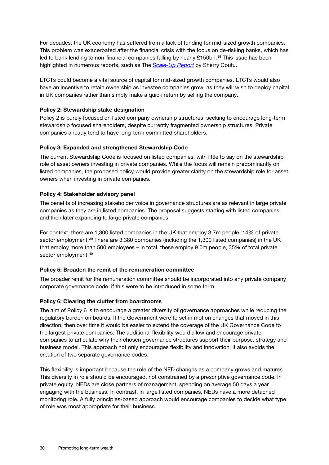For decades, the UK economy has suffered from a lack of funding for mid-sized growth companies. This problem was exacerbated after the financial crisis with the focus on de-risking banks, which has led to bank lending to non-financial companies falling by nearly £150bn.<sup>[38](#page-34-37)</sup> This issue has been highlighted in numerous reports, such as The *[Scale-Up Report](http://www.scaleupreport.org/scaleup-report.pdf)* by Sherry Coutu.

LTCTs could become a vital source of capital for mid-sized growth companies. LTCTs would also have an incentive to retain ownership as investee companies grow, as they will wish to deploy capital in UK companies rather than simply make a quick return by selling the company.

#### Policy 2: Stewardship stake designation

Policy 2 is purely focused on listed company ownership structures, seeking to encourage long-term stewardship focused shareholders, despite currently fragmented ownership structures. Private companies already tend to have long-term committed shareholders.

#### Policy 3: Expanded and strengthened Stewardship Code

The current Stewardship Code is focused on listed companies, with little to say on the stewardship role of asset owners investing in private companies. While the focus will remain predominantly on listed companies, the proposed policy would provide greater clarity on the stewardship role for asset owners when investing in private companies.

#### Policy 4: Stakeholder advisory panel

The benefits of increasing stakeholder voice in governance structures are as relevant in large private companies as they are in listed companies. The proposal suggests starting with listed companies, and then later expanding to large private companies.

For context, there are 1,300 listed companies in the UK that employ 3.7m people. 14% of private sector employment.<sup>[39](#page-34-38)</sup> There are 3,380 companies (including the 1,300 listed companies) in the UK that employ more than 500 employees – in total, these employ 9.0m people, 35% of total private sector employment.<sup>[40](#page-34-39)</sup>

#### Policy 5: Broaden the remit of the remuneration committee

The broader remit for the remuneration committee should be incorporated into any private company corporate governance code, if this were to be introduced in some form.

#### Policy 6: Clearing the clutter from boardrooms

The aim of Policy 6 is to encourage a greater diversity of governance approaches while reducing the regulatory burden on boards. If the Government were to set in motion changes that moved in this direction, then over time it would be easier to extend the coverage of the UK Governance Code to the largest private companies. The additional flexibility would allow and encourage private companies to articulate why their chosen governance structures support their purpose, strategy and business model. This approach not only encourages flexibility and innovation, it also avoids the creation of two separate governance codes.

This flexibility is important because the role of the NED changes as a company grows and matures. This diversity in role should be encouraged, not constrained by a prescriptive governance code. In private equity, NEDs are close partners of management, spending on average 50 days a year engaging with the business. In contrast, in large listed companies, NEDs have a more detached monitoring role. A fully principles-based approach would encourage companies to decide what type of role was most appropriate for their business.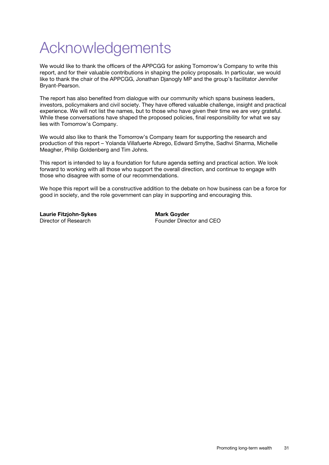# Acknowledgements

We would like to thank the officers of the APPCGG for asking Tomorrow's Company to write this report, and for their valuable contributions in shaping the policy proposals. In particular, we would like to thank the chair of the APPCGG, Jonathan Djanogly MP and the group's facilitator Jennifer Bryant-Pearson.

The report has also benefited from dialogue with our community which spans business leaders, investors, policymakers and civil society. They have offered valuable challenge, insight and practical experience. We will not list the names, but to those who have given their time we are very grateful. While these conversations have shaped the proposed policies, final responsibility for what we say lies with Tomorrow's Company.

We would also like to thank the Tomorrow's Company team for supporting the research and production of this report – Yolanda Villafuerte Abrego, Edward Smythe, Sadhvi Sharma, Michelle Meagher, Philip Goldenberg and Tim Johns.

This report is intended to lay a foundation for future agenda setting and practical action. We look forward to working with all those who support the overall direction, and continue to engage with those who disagree with some of our recommendations.

We hope this report will be a constructive addition to the debate on how business can be a force for good in society, and the role government can play in supporting and encouraging this.

**Laurie Fitzjohn-Sykes Mark Goyder<br>Director of Research Mark Gounder Director of Research Mark Counder Director** 

Founder Director and CEO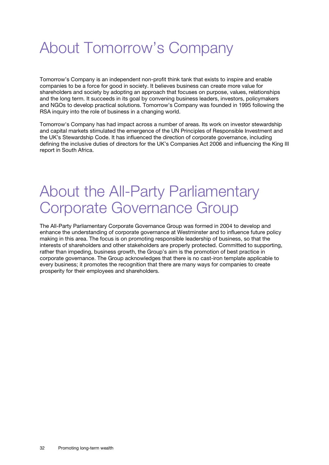# About Tomorrow's Company

Tomorrow's Company is an independent non-profit think tank that exists to inspire and enable companies to be a force for good in society. It believes business can create more value for shareholders and society by adopting an approach that focuses on purpose, values, relationships and the long term. It succeeds in its goal by convening business leaders, investors, policymakers and NGOs to develop practical solutions. Tomorrow's Company was founded in 1995 following the RSA inquiry into the role of business in a changing world.

Tomorrow's Company has had impact across a number of areas. Its work on investor stewardship and capital markets stimulated the emergence of the UN Principles of Responsible Investment and the UK's Stewardship Code. It has influenced the direction of corporate governance, including defining the inclusive duties of directors for the UK's Companies Act 2006 and influencing the King III report in South Africa.

# About the All-Party Parliamentary Corporate Governance Group

The All-Party Parliamentary Corporate Governance Group was formed in 2004 to develop and enhance the understanding of corporate governance at Westminster and to influence future policy making in this area. The focus is on promoting responsible leadership of business, so that the interests of shareholders and other stakeholders are properly protected. Committed to supporting, rather than impeding, business growth, the Group's aim is the promotion of best practice in corporate governance. The Group acknowledges that there is no cast-iron template applicable to every business; it promotes the recognition that there are many ways for companies to create prosperity for their employees and shareholders.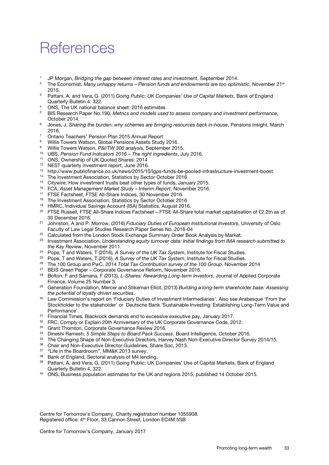# **References**

- <span id="page-34-0"></span><sup>1</sup> JP Morgan, *Bridging the gap between interest rates and investment*, September 2014.
- <span id="page-34-1"></span><sup>2</sup> The Economist, *Many unhappy returns – Pension funds and endowments are too optimistic*, November 21st 2015.
- <span id="page-34-2"></span><sup>3</sup> Pattani, A. and Vera, G. (2011) *Going Public: UK Companies' Use of Capital Markets*, Bank of England Quarterly Bulletin 4: 322.
- <span id="page-34-3"></span><sup>4</sup> ONS, The UK national balance sheet: 2016 estimates
- <span id="page-34-4"></span><sup>5</sup> BIS Research Paper No.190, *Metrics and models used to assess company and investment performance*, October 2014.
- <span id="page-34-5"></span><sup>6</sup> Jones, J. *Sharing the burden: why schemes are bringing resources back in-house*, Pensions Insight, March
- <span id="page-34-6"></span>2016.<br>
<sup>7</sup> Ontario Teachers' Pension Plan 2015 Annual Report<br>
<sup>8</sup> Willie Towers Watson, Global Pensions Assets Study
- Willis Towers Watson, Global Pensions Assets Study 2016.
- <span id="page-34-8"></span><span id="page-34-7"></span><sup>9</sup> Willis Towers Watson, *P&I/TW 300 analysis*, September 2015.
- <span id="page-34-9"></span><sup>10</sup> UBS, *Pension Fund Indicators 2016 – The right ingredients*, July 2016.
- <span id="page-34-10"></span><sup>11</sup> ONS, Ownership of UK Quoted Shares: 2014
- <span id="page-34-11"></span><sup>12</sup> NEST quarterly investment report, June 2016.<br><sup>13</sup> http://www.publicfinance.co.uk/pews/2015/10
- <span id="page-34-12"></span>13 http://www.publicfinance.co.uk/news/2015/10/lgps-funds-be-pooled-infrastructure-investment-boost<br>14 The Investment Association Statistics by Sector October 2016
- <span id="page-34-13"></span><sup>14</sup> The Investment Association, Statistics by Sector October 2016<br><sup>15</sup> Citrovice, How investment trusts best other types of funds
- <span id="page-34-14"></span><sup>15</sup> Citywire, How investment trusts beat other types of funds, January 2015.
- <span id="page-34-15"></span><sup>16</sup> FCA, *Asset Management Market Study – Interim Report*, November 2016.
- <span id="page-34-16"></span><sup>17</sup> FTSE Factsheet, FTSE All-Share Indices, 30 November 2016.
- <span id="page-34-17"></span><sup>18</sup> The Investment Association, Statistics by Sector October 2016
- <span id="page-34-18"></span><sup>19</sup> HMRC, Individual Savings Account (ISA) Statistics, August 2016.
- <span id="page-34-19"></span><sup>20</sup> FTSE Russell, FTSE All-Share Indices Factsheet – FTSE All-Share total market capitalisation of £2.2tn as of 30 December 2016.
- <span id="page-34-20"></span><sup>21</sup> Johnston, A and P. Morrow, (2016) *Fiduciary Duties of European Institutional Investors*, University of Oslo Faculty of Law Legal Studies Research Paper Series No. 2016-04
- <span id="page-34-21"></span><sup>22</sup> Calculated from the London Stock Exchange Summary Order Book Analysis by Market.
- <span id="page-34-22"></span><sup>23</sup> Investment Association, *Understanding equity turnover data: Initial findings from IMA research submitted to the Kay Review*, November 2011.
- 
- <span id="page-34-23"></span><sup>24</sup> Pope, T and Waters, T (2016), *A Survey of the UK Tax System*, Institute for Fiscal Studies. 25 Pope, T and Waters, T (2016), *A Survey of the UK Tax System*, Institute for Fiscal Studies.
- <span id="page-34-25"></span><span id="page-34-24"></span><sup>26</sup> The 100 Group and PwC, *2014 Total Tax Contribution survey of the 100 Group*, November 2014
- <span id="page-34-26"></span><sup>27</sup> BEIS Green Paper – Corporate Governance Reform, November 2016.
- <span id="page-34-27"></span><sup>28</sup> Bolton, F and Samana, F (2013), *L-Shares: Rewarding Long-term Investors*, Journal of Applied Corporate Finance, Volume 25 Number 3.
- <span id="page-34-28"></span><sup>29</sup> Generation Foundation, Mercer and Stikeman Elliot, (2013) *Building a long-term shareholder base: Assessing the potential of loyalty driven securities*.
- <span id="page-34-29"></span><sup>30</sup> Law Commission's report on 'Fiduciary Duties of Investment Intermediaries'. Also see Arabesque 'From the Stockholder to the stakeholder' or Deutsche Bank 'Sustainable Investing: Establishing Long-Term Value and Performance'.<br>31 Financial Times, Blackrock demands end to excessive executive pay, January 2017.<br>32 FRC, Comply or Explain 20th Anniversary of the UK Corporate Governance Code, 2012.
- <span id="page-34-30"></span>
- <span id="page-34-31"></span>
- <span id="page-34-32"></span><sup>33</sup> Grant Thornton, Corporate Governance Review 2016.
- <span id="page-34-33"></span><sup>34</sup> Dineshi Ramesh, *5 Simple Steps to Board Pack Success*, Board Intelligence, October 2016.
- <span id="page-34-34"></span>35 The Changing Shape of Non-Executive Directors, Harvey Nash Non-Executive Director Survey 2014/15.
- <span id="page-34-35"></span><sup>36</sup> Chair and Non-Executive Director Guidelines, Share Soc, 2013.
- <span id="page-34-36"></span><sup>37</sup> "Life in the Boardroom", MM&K 2013 survey.
- <span id="page-34-37"></span>38 Bank of England, Sectoral analysis of M4 lending.
- <span id="page-34-38"></span><sup>39</sup> Pattani, A. and Vera, G. (2011) Going Public: UK Companies' Use of Capital Markets, Bank of England Quarterly Bulletin 4, 322.
- <span id="page-34-39"></span><sup>40</sup> ONS, Business population estimates for the UK and regions 2015, published 14 October 2015.

Centre for Tomorrow's Company, Charity registration number 1055908. Registered office: 4<sup>th</sup> Floor, 33 Cannon Street, London EC4M 5SB